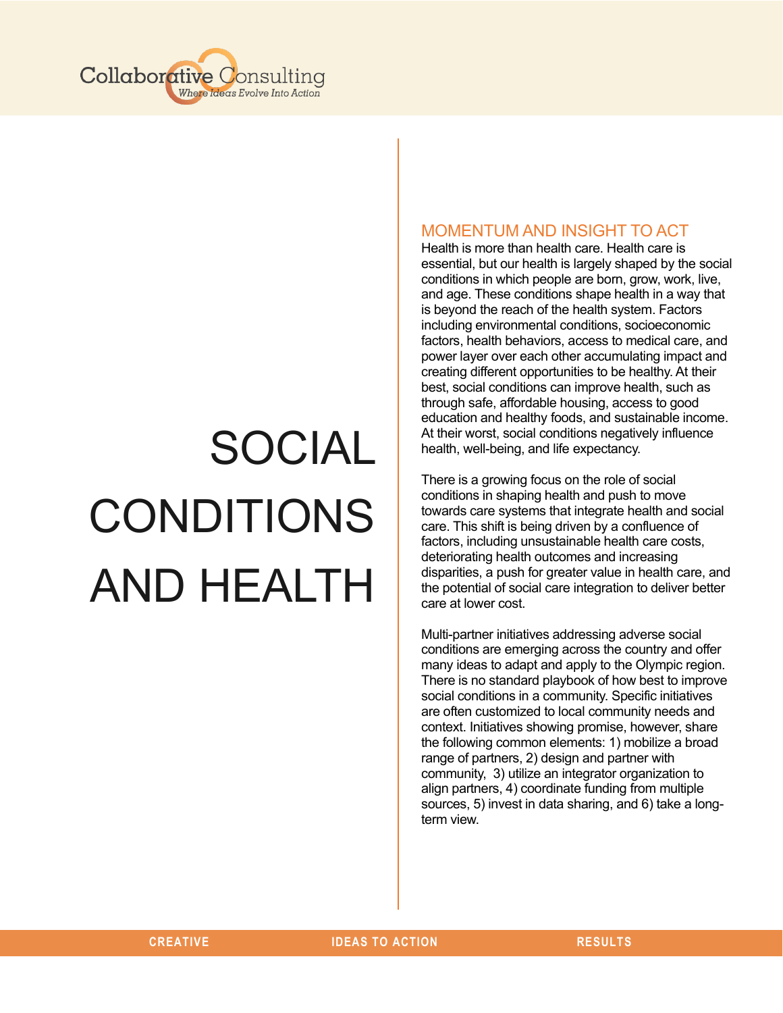

# SOCIAL CONDITIONS AND HEALTH

# MOMENTUM AND INSIGHT TO ACT

Health is more than health care. Health care is essential, but our health is largely shaped by the social conditions in which people are born, grow, work, live, and age. These conditions shape health in a way that is beyond the reach of the health system. Factors including environmental conditions, socioeconomic factors, health behaviors, access to medical care, and power layer over each other accumulating impact and creating different opportunities to be healthy. At their best, social conditions can improve health, such as through safe, affordable housing, access to good education and healthy foods, and sustainable income. At their worst, social conditions negatively influence health, well-being, and life expectancy.

There is a growing focus on the role of social conditions in shaping health and push to move towards care systems that integrate health and social care. This shift is being driven by a confluence of factors, including unsustainable health care costs, deteriorating health outcomes and increasing disparities, a push for greater value in health care, and the potential of social care integration to deliver better care at lower cost.

Multi-partner initiatives addressing adverse social conditions are emerging across the country and offer many ideas to adapt and apply to the Olympic region. There is no standard playbook of how best to improve social conditions in a community. Specific initiatives are often customized to local community needs and context. Initiatives showing promise, however, share the following common elements: 1) mobilize a broad range of partners, 2) design and partner with community, 3) utilize an integrator organization to align partners, 4) coordinate funding from multiple sources, 5) invest in data sharing, and 6) take a longterm view.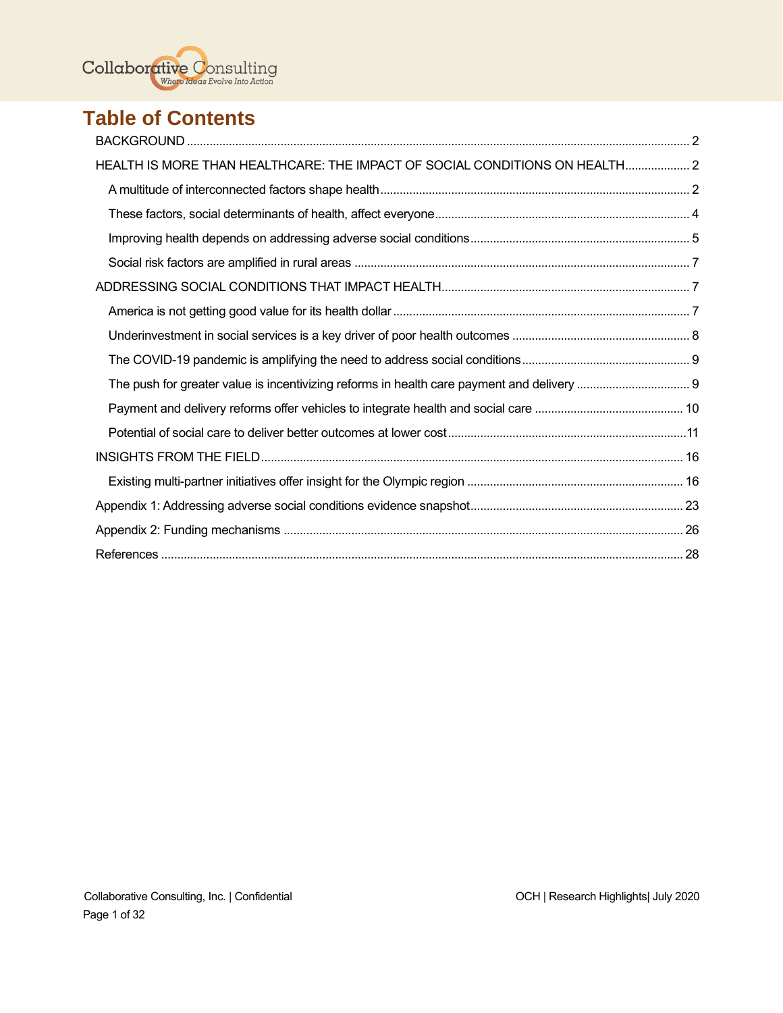$\text{Collaborative} \ \text{Consider} \ \text{Consulting} \ \text{Consider} \ \text{In this section}$ 

# **Table of Contents**

| HEALTH IS MORE THAN HEALTHCARE: THE IMPACT OF SOCIAL CONDITIONS ON HEALTH 2 |  |
|-----------------------------------------------------------------------------|--|
|                                                                             |  |
|                                                                             |  |
|                                                                             |  |
|                                                                             |  |
|                                                                             |  |
|                                                                             |  |
|                                                                             |  |
|                                                                             |  |
|                                                                             |  |
|                                                                             |  |
|                                                                             |  |
|                                                                             |  |
|                                                                             |  |
|                                                                             |  |
|                                                                             |  |
|                                                                             |  |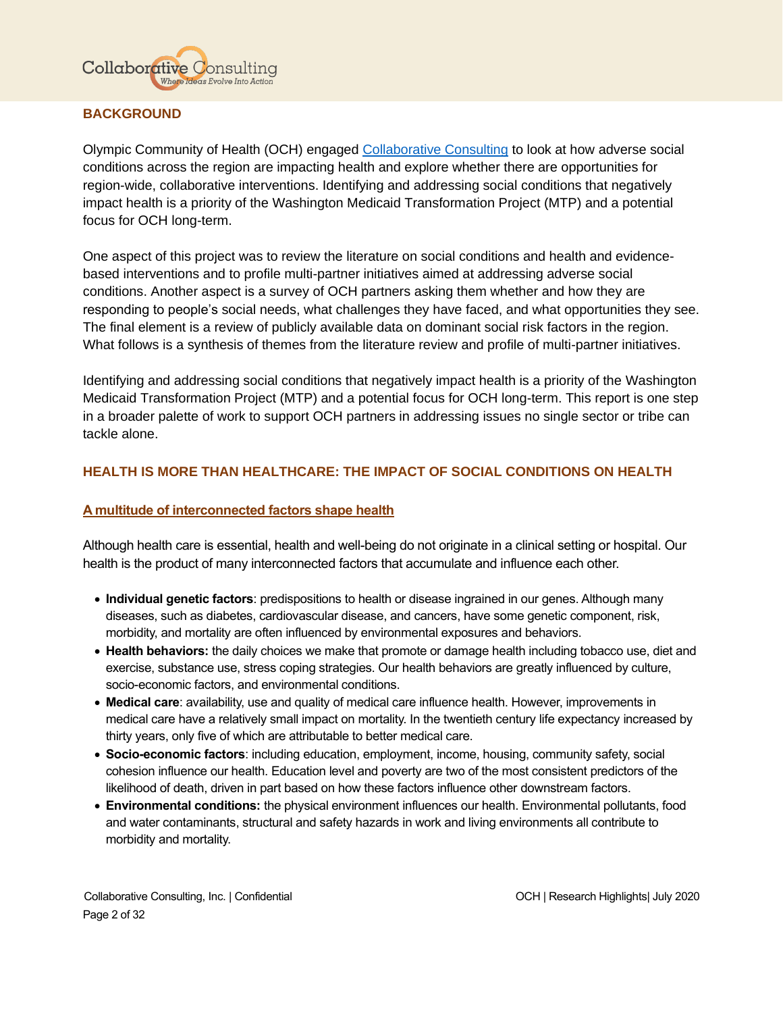

# <span id="page-2-0"></span>**BACKGROUND**

Olympic Community of Health (OCH) engaged [Collaborative Consulting](https://collaborativeconsulting.net/about/) to look at how adverse social conditions across the region are impacting health and explore whether there are opportunities for region-wide, collaborative interventions. Identifying and addressing social conditions that negatively impact health is a priority of the Washington Medicaid Transformation Project (MTP) and a potential focus for OCH long-term.

One aspect of this project was to review the literature on social conditions and health and evidencebased interventions and to profile multi-partner initiatives aimed at addressing adverse social conditions. Another aspect is a survey of OCH partners asking them whether and how they are responding to people's social needs, what challenges they have faced, and what opportunities they see. The final element is a review of publicly available data on dominant social risk factors in the region. What follows is a synthesis of themes from the literature review and profile of multi-partner initiatives.

Identifying and addressing social conditions that negatively impact health is a priority of the Washington Medicaid Transformation Project (MTP) and a potential focus for OCH long-term. This report is one step in a broader palette of work to support OCH partners in addressing issues no single sector or tribe can tackle alone.

# <span id="page-2-1"></span>**HEALTH IS MORE THAN HEALTHCARE: THE IMPACT OF SOCIAL CONDITIONS ON HEALTH**

# <span id="page-2-2"></span>**A multitude of interconnected factors shape health**

Although health care is essential, health and well-being do not originate in a clinical setting or hospital. Our health is the product of many interconnected factors that accumulate and influence each other.

- **Individual genetic factors**: predispositions to health or disease ingrained in our genes. Although many diseases, such as diabetes, cardiovascular disease, and cancers, have some genetic component, risk, morbidity, and mortality are often influenced by environmental exposures and behaviors.
- **Health behaviors:** the daily choices we make that promote or damage health including tobacco use, diet and exercise, substance use, stress coping strategies. Our health behaviors are greatly influenced by culture, socio-economic factors, and environmental conditions.
- **Medical care**: availability, use and quality of medical care influence health. However, improvements in medical care have a relatively small impact on mortality. In the twentieth century life expectancy increased by thirty years, only five of which are attributable to better medical care.
- **Socio-economic factors**: including education, employment, income, housing, community safety, social cohesion influence our health. Education level and poverty are two of the most consistent predictors of the likelihood of death, driven in part based on how these factors influence other downstream factors.
- **Environmental conditions:** the physical environment influences our health. Environmental pollutants, food and water contaminants, structural and safety hazards in work and living environments all contribute to morbidity and mortality.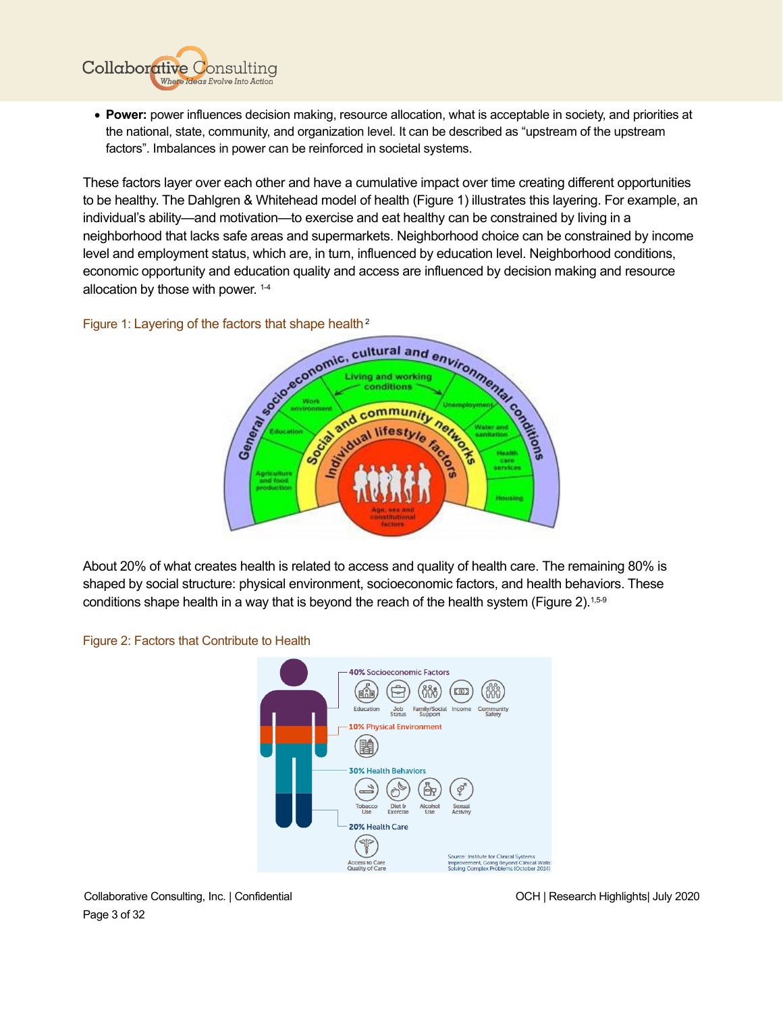

These factors layer over each other and have a cumulative impact over time creating different opportunities to be healthy. The Dahlgren & Whitehead model of health (Figure 1) illustrates this layering. For example, an individual's ability—and motivation—to exercise and eat healthy can be constrained by living in a neighborhood that lacks safe areas and supermarkets. Neighborhood choice can be constrained by income level and employment status, which are, in turn, influenced by education level. Neighborhood conditions, economic opportunity and education quality and access are influenced by decision making and resource allocation by those with power. 1-4

**Collaborative Consulting** 

Where Ideas Evolve Into Action



About 20% of what creates health is related to access and quality of health care. The remaining 80% is shaped by social structure: physical environment, socioeconomic factors, and health behaviors. These conditions shape health in a way that is beyond the reach of the health system (Figure 2).<sup>1,5-9</sup>



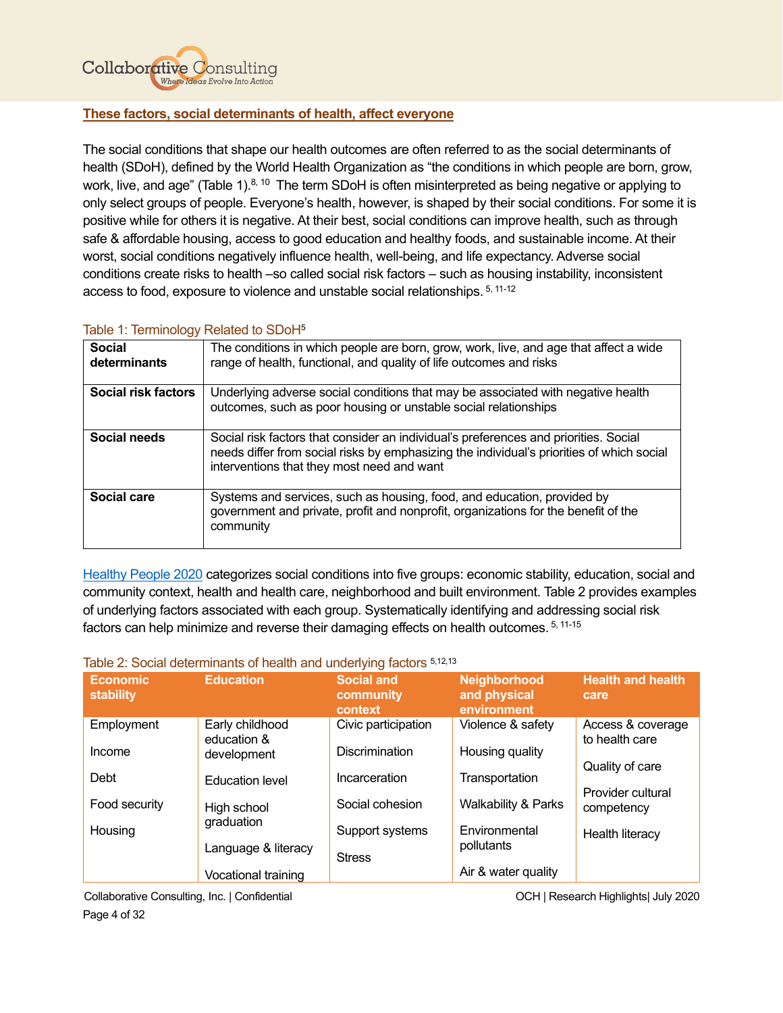

# <span id="page-4-0"></span>**These factors, social determinants of health, affect everyone**

The social conditions that shape our health outcomes are often referred to as the social determinants of health (SDoH), defined by the World Health Organization as "the conditions in which people are born, grow, work, live, and age" (Table 1).<sup>8, 10</sup> The term SDoH is often misinterpreted as being negative or applying to only select groups of people. Everyone's health, however, is shaped by their social conditions. For some it is positive while for others it is negative. At their best, social conditions can improve health, such as through safe & affordable housing, access to good education and healthy foods, and sustainable income. At their worst, social conditions negatively influence health, well-being, and life expectancy. Adverse social conditions create risks to health –so called social risk factors – such as housing instability, inconsistent access to food, exposure to violence and unstable social relationships. 5, 11-12

# Table 1: Terminology Related to SDoH<sup>5</sup>

| ັ                             |                                                                                                                                                                                                                                 |
|-------------------------------|---------------------------------------------------------------------------------------------------------------------------------------------------------------------------------------------------------------------------------|
| <b>Social</b><br>determinants | The conditions in which people are born, grow, work, live, and age that affect a wide<br>range of health, functional, and quality of life outcomes and risks                                                                    |
| Social risk factors           | Underlying adverse social conditions that may be associated with negative health<br>outcomes, such as poor housing or unstable social relationships                                                                             |
| Social needs                  | Social risk factors that consider an individual's preferences and priorities. Social<br>needs differ from social risks by emphasizing the individual's priorities of which social<br>interventions that they most need and want |
| Social care                   | Systems and services, such as housing, food, and education, provided by<br>government and private, profit and nonprofit, organizations for the benefit of the<br>community                                                      |

[Healthy People 2020](https://www.healthypeople.gov/2020/topics-objectives/topic/social-determinants-of-health) categorizes social conditions into five groups: economic stability, education, social and community context, health and health care, neighborhood and built environment. Table 2 provides examples of underlying factors associated with each group. Systematically identifying and addressing social risk factors can help minimize and reverse their damaging effects on health outcomes. <sup>5, 11-15</sup>

#### Table 2: Social determinants of health and underlying factors 5,12,13

| <b>Economic</b><br><b>stability</b> | <b>Education</b>               | <b>Social and</b><br>community<br>context | <b>Neighborhood</b><br>and physical<br>environment | <b>Health and health</b><br>care    |
|-------------------------------------|--------------------------------|-------------------------------------------|----------------------------------------------------|-------------------------------------|
| Employment                          | Early childhood<br>education & | Civic participation                       | Violence & safety                                  | Access & coverage<br>to health care |
| Income                              | development                    | <b>Discrimination</b>                     | Housing quality                                    | Quality of care                     |
| Debt                                | <b>Education level</b>         | Incarceration                             | Transportation                                     |                                     |
| Food security                       | High school                    | Social cohesion                           | <b>Walkability &amp; Parks</b>                     | Provider cultural<br>competency     |
| Housing                             | graduation                     | Support systems                           | Environmental                                      | Health literacy                     |
|                                     | Language & literacy            | <b>Stress</b>                             | pollutants                                         |                                     |
|                                     | Vocational training            |                                           | Air & water quality                                |                                     |

Collaborative Consulting, Inc. | Confidential OCH | Research Highlights| July 2020 Page 4 of 32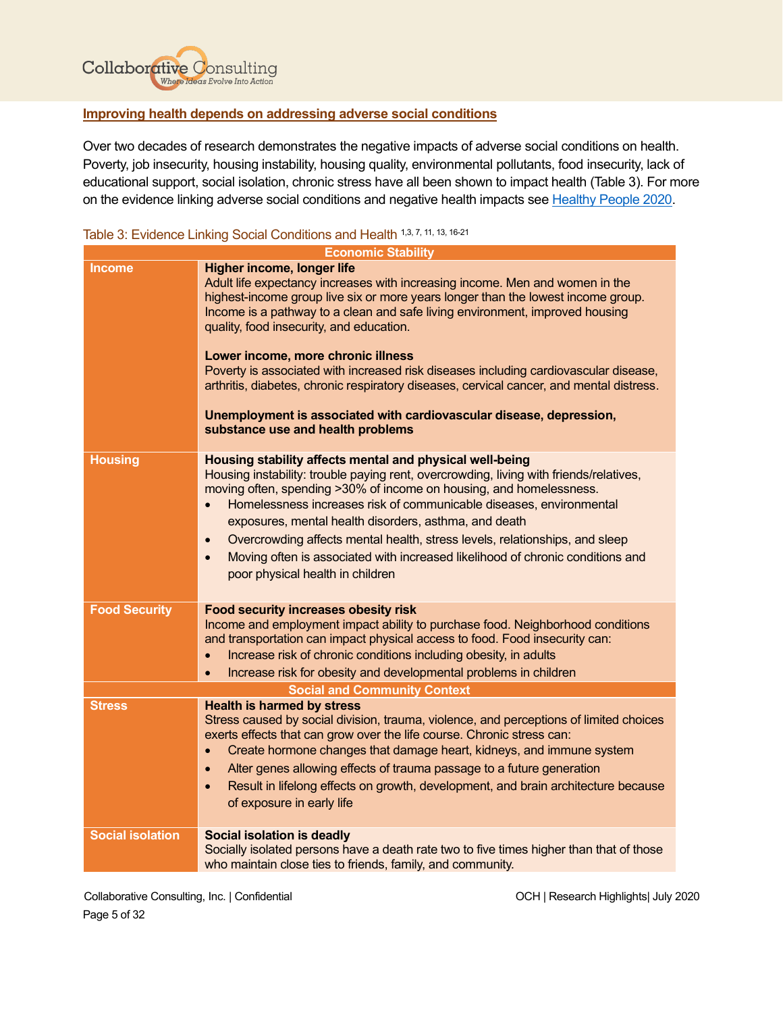

# <span id="page-5-0"></span>**Improving health depends on addressing adverse social conditions**

Over two decades of research demonstrates the negative impacts of adverse social conditions on health. Poverty, job insecurity, housing instability, housing quality, environmental pollutants, food insecurity, lack of educational support, social isolation, chronic stress have all been shown to impact health (Table 3). For more on the evidence linking adverse social conditions and negative health impacts see [Healthy People 2020.](https://www.healthypeople.gov/2020/topics-objectives/topic/social-determinants-of-health)

# Table 3: Evidence Linking Social Conditions and Health 1,3, 7, 11, 13, 16-21

|                         | <b>Economic Stability</b>                                                                                                                                                                                                                                                                                                                                                                                                                                                                                                                                                                                                                                        |
|-------------------------|------------------------------------------------------------------------------------------------------------------------------------------------------------------------------------------------------------------------------------------------------------------------------------------------------------------------------------------------------------------------------------------------------------------------------------------------------------------------------------------------------------------------------------------------------------------------------------------------------------------------------------------------------------------|
| <b>Income</b>           | Higher income, longer life<br>Adult life expectancy increases with increasing income. Men and women in the<br>highest-income group live six or more years longer than the lowest income group.<br>Income is a pathway to a clean and safe living environment, improved housing<br>quality, food insecurity, and education.<br>Lower income, more chronic illness<br>Poverty is associated with increased risk diseases including cardiovascular disease,<br>arthritis, diabetes, chronic respiratory diseases, cervical cancer, and mental distress.<br>Unemployment is associated with cardiovascular disease, depression,<br>substance use and health problems |
| <b>Housing</b>          | Housing stability affects mental and physical well-being<br>Housing instability: trouble paying rent, overcrowding, living with friends/relatives,<br>moving often, spending >30% of income on housing, and homelessness.<br>Homelessness increases risk of communicable diseases, environmental<br>exposures, mental health disorders, asthma, and death<br>Overcrowding affects mental health, stress levels, relationships, and sleep<br>$\bullet$<br>Moving often is associated with increased likelihood of chronic conditions and<br>$\bullet$<br>poor physical health in children                                                                         |
| <b>Food Security</b>    | Food security increases obesity risk<br>Income and employment impact ability to purchase food. Neighborhood conditions<br>and transportation can impact physical access to food. Food insecurity can:<br>Increase risk of chronic conditions including obesity, in adults<br>$\bullet$<br>Increase risk for obesity and developmental problems in children                                                                                                                                                                                                                                                                                                       |
|                         | <b>Social and Community Context</b>                                                                                                                                                                                                                                                                                                                                                                                                                                                                                                                                                                                                                              |
| <b>Stress</b>           | <b>Health is harmed by stress</b><br>Stress caused by social division, trauma, violence, and perceptions of limited choices<br>exerts effects that can grow over the life course. Chronic stress can:<br>Create hormone changes that damage heart, kidneys, and immune system<br>$\bullet$<br>Alter genes allowing effects of trauma passage to a future generation<br>$\bullet$<br>Result in lifelong effects on growth, development, and brain architecture because<br>$\bullet$<br>of exposure in early life                                                                                                                                                  |
| <b>Social isolation</b> | Social isolation is deadly<br>Socially isolated persons have a death rate two to five times higher than that of those<br>who maintain close ties to friends, family, and community.                                                                                                                                                                                                                                                                                                                                                                                                                                                                              |

Collaborative Consulting, Inc. | Confidential OCH | Research Highlights| July 2020 Page 5 of 32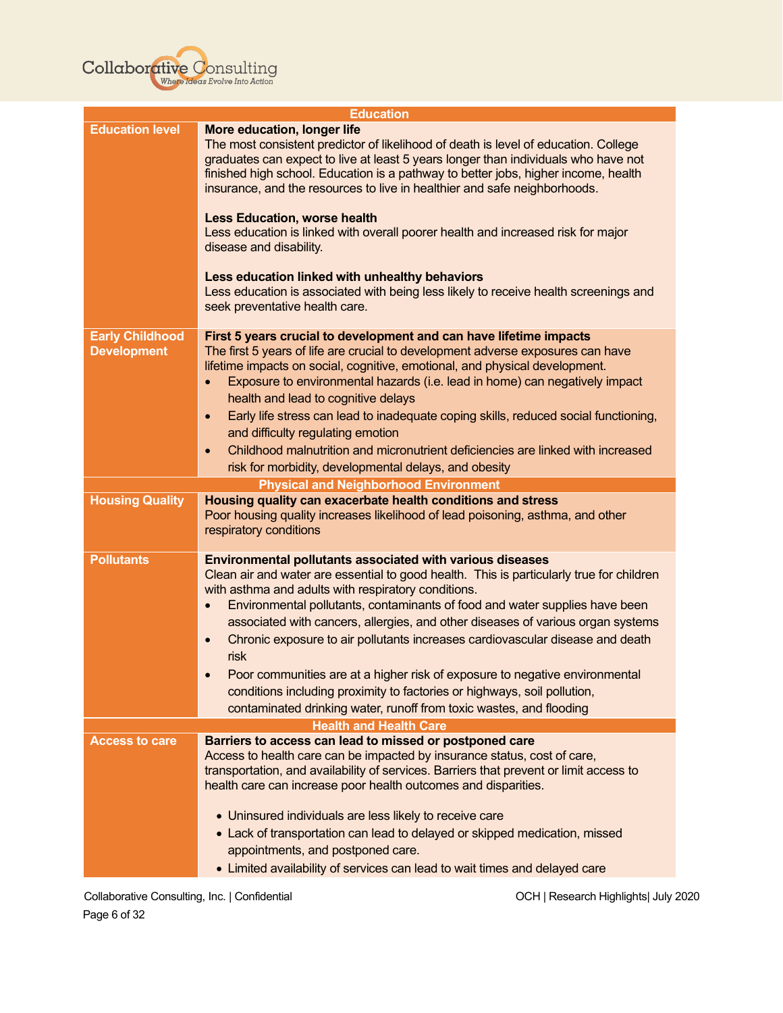

| <b>Education</b>                             |                                                                                                                                                                                                                                                                                                                                                                                                                                                                                                                                                                                                                                                                                                                                            |  |
|----------------------------------------------|--------------------------------------------------------------------------------------------------------------------------------------------------------------------------------------------------------------------------------------------------------------------------------------------------------------------------------------------------------------------------------------------------------------------------------------------------------------------------------------------------------------------------------------------------------------------------------------------------------------------------------------------------------------------------------------------------------------------------------------------|--|
| <b>Education level</b>                       | More education, longer life<br>The most consistent predictor of likelihood of death is level of education. College<br>graduates can expect to live at least 5 years longer than individuals who have not<br>finished high school. Education is a pathway to better jobs, higher income, health<br>insurance, and the resources to live in healthier and safe neighborhoods.<br><b>Less Education, worse health</b>                                                                                                                                                                                                                                                                                                                         |  |
|                                              | Less education is linked with overall poorer health and increased risk for major<br>disease and disability.                                                                                                                                                                                                                                                                                                                                                                                                                                                                                                                                                                                                                                |  |
|                                              | Less education linked with unhealthy behaviors<br>Less education is associated with being less likely to receive health screenings and<br>seek preventative health care.                                                                                                                                                                                                                                                                                                                                                                                                                                                                                                                                                                   |  |
| <b>Early Childhood</b><br><b>Development</b> | First 5 years crucial to development and can have lifetime impacts<br>The first 5 years of life are crucial to development adverse exposures can have<br>lifetime impacts on social, cognitive, emotional, and physical development.<br>Exposure to environmental hazards (i.e. lead in home) can negatively impact<br>$\bullet$<br>health and lead to cognitive delays<br>Early life stress can lead to inadequate coping skills, reduced social functioning,<br>$\bullet$<br>and difficulty regulating emotion<br>Childhood malnutrition and micronutrient deficiencies are linked with increased<br>$\bullet$<br>risk for morbidity, developmental delays, and obesity                                                                  |  |
|                                              | <b>Physical and Neighborhood Environment</b>                                                                                                                                                                                                                                                                                                                                                                                                                                                                                                                                                                                                                                                                                               |  |
| <b>Housing Quality</b>                       | Housing quality can exacerbate health conditions and stress<br>Poor housing quality increases likelihood of lead poisoning, asthma, and other<br>respiratory conditions                                                                                                                                                                                                                                                                                                                                                                                                                                                                                                                                                                    |  |
| <b>Pollutants</b>                            | <b>Environmental pollutants associated with various diseases</b><br>Clean air and water are essential to good health. This is particularly true for children<br>with asthma and adults with respiratory conditions.<br>Environmental pollutants, contaminants of food and water supplies have been<br>$\bullet$<br>associated with cancers, allergies, and other diseases of various organ systems<br>Chronic exposure to air pollutants increases cardiovascular disease and death<br>$\bullet$<br>risk<br>Poor communities are at a higher risk of exposure to negative environmental<br>conditions including proximity to factories or highways, soil pollution,<br>contaminated drinking water, runoff from toxic wastes, and flooding |  |
|                                              | <b>Health and Health Care</b>                                                                                                                                                                                                                                                                                                                                                                                                                                                                                                                                                                                                                                                                                                              |  |
| <b>Access to care</b>                        | Barriers to access can lead to missed or postponed care<br>Access to health care can be impacted by insurance status, cost of care,<br>transportation, and availability of services. Barriers that prevent or limit access to<br>health care can increase poor health outcomes and disparities.                                                                                                                                                                                                                                                                                                                                                                                                                                            |  |
|                                              | • Uninsured individuals are less likely to receive care<br>• Lack of transportation can lead to delayed or skipped medication, missed<br>appointments, and postponed care.<br>• Limited availability of services can lead to wait times and delayed care                                                                                                                                                                                                                                                                                                                                                                                                                                                                                   |  |
|                                              |                                                                                                                                                                                                                                                                                                                                                                                                                                                                                                                                                                                                                                                                                                                                            |  |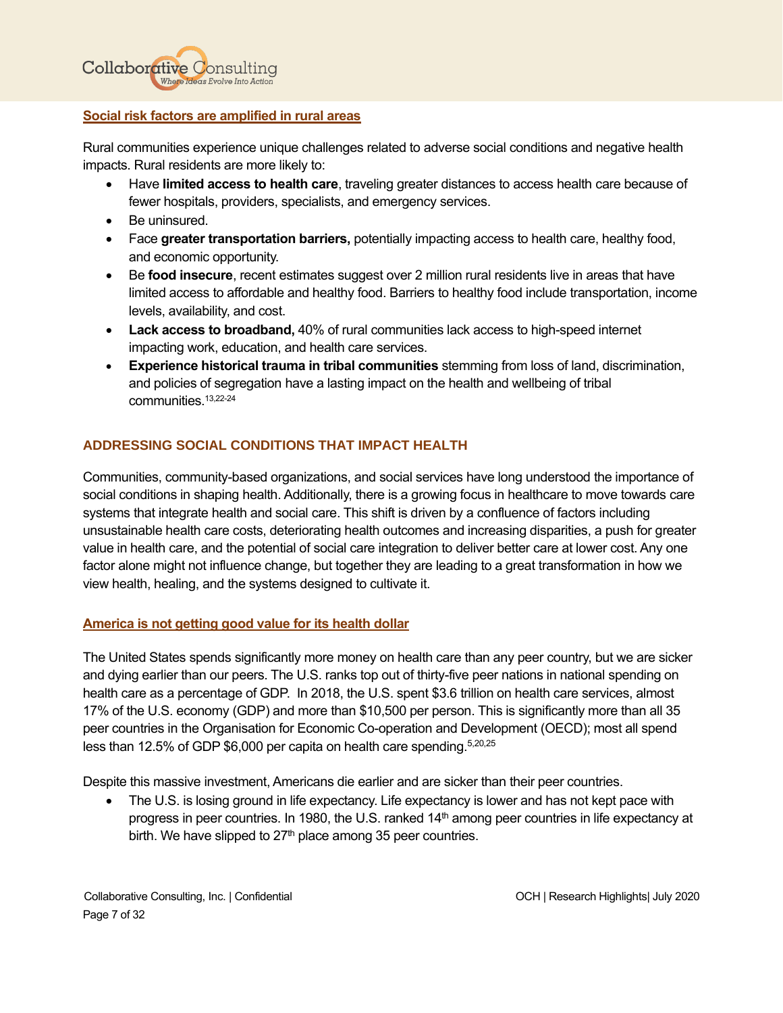

#### <span id="page-7-0"></span>**Social risk factors are amplified in rural areas**

Rural communities experience unique challenges related to adverse social conditions and negative health impacts. Rural residents are more likely to:

- Have **limited access to health care**, traveling greater distances to access health care because of fewer hospitals, providers, specialists, and emergency services.
- Be uninsured.
- Face **greater transportation barriers,** potentially impacting access to health care, healthy food, and economic opportunity.
- Be **food insecure**, recent estimates suggest over 2 million rural residents live in areas that have limited access to affordable and healthy food. Barriers to healthy food include transportation, income levels, availability, and cost.
- **Lack access to broadband,** 40% of rural communities lack access to high-speed internet impacting work, education, and health care services.
- **Experience historical trauma in tribal communities** stemming from loss of land, discrimination, and policies of segregation have a lasting impact on the health and wellbeing of tribal communities. 13,22-24

# <span id="page-7-1"></span>**ADDRESSING SOCIAL CONDITIONS THAT IMPACT HEALTH**

Communities, community-based organizations, and social services have long understood the importance of social conditions in shaping health. Additionally, there is a growing focus in healthcare to move towards care systems that integrate health and social care. This shift is driven by a confluence of factors including unsustainable health care costs, deteriorating health outcomes and increasing disparities, a push for greater value in health care, and the potential of social care integration to deliver better care at lower cost. Any one factor alone might not influence change, but together they are leading to a great transformation in how we view health, healing, and the systems designed to cultivate it.

# <span id="page-7-2"></span>**America is not getting good value for its health dollar**

The United States spends significantly more money on health care than any peer country, but we are sicker and dying earlier than our peers. The U.S. ranks top out of thirty-five peer nations in national spending on health care as a percentage of GDP. In 2018, the U.S. spent \$3.6 trillion on health care services, almost 17% of the U.S. economy (GDP) and more than \$10,500 per person. This is significantly more than all 35 peer countries in the Organisation for Economic Co-operation and Development (OECD); most all spend less than 12.5% of GDP \$6,000 per capita on health care spending.<sup>5,20,25</sup>

Despite this massive investment, Americans die earlier and are sicker than their peer countries.

The U.S. is losing ground in life expectancy. Life expectancy is lower and has not kept pace with progress in peer countries. In 1980, the U.S. ranked 14<sup>th</sup> among peer countries in life expectancy at birth. We have slipped to  $27<sup>th</sup>$  place among 35 peer countries.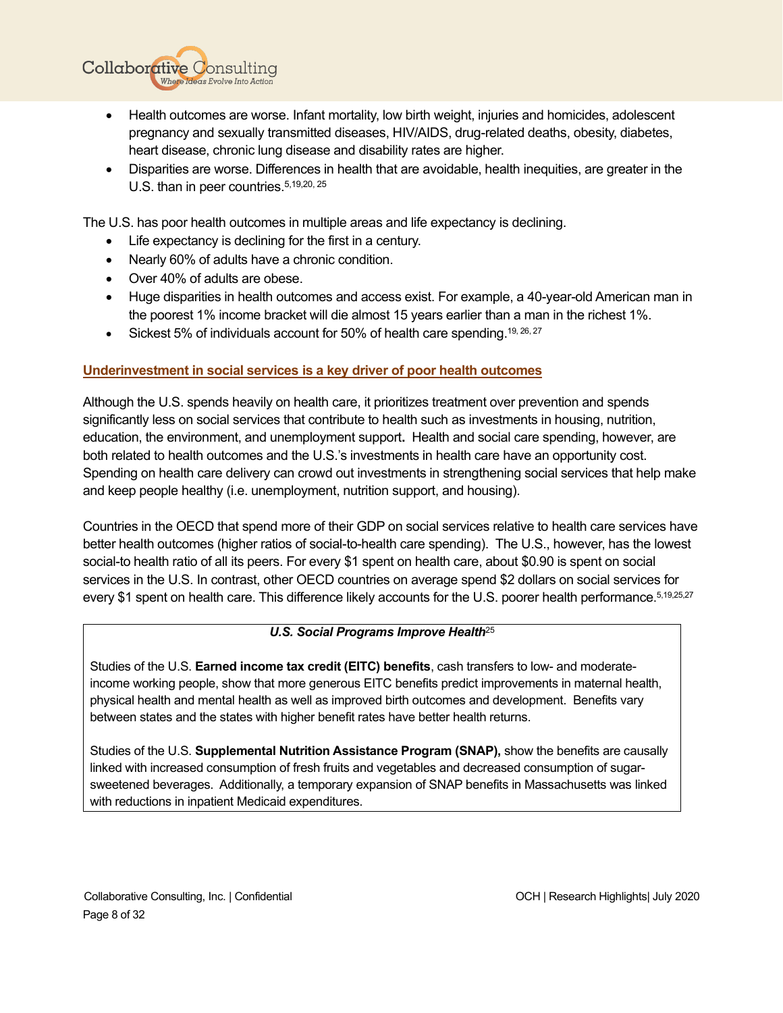• Health outcomes are worse. Infant mortality, low birth weight, injuries and homicides, adolescent pregnancy and sexually transmitted diseases, HIV/AIDS, drug-related deaths, obesity, diabetes, heart disease, chronic lung disease and disability rates are higher.

• Disparities are worse. Differences in health that are avoidable, health inequities, are greater in the U.S. than in peer countries.<sup>5,19,20, 25</sup>

The U.S. has poor health outcomes in multiple areas and life expectancy is declining.

- Life expectancy is declining for the first in a century.
- Nearly 60% of adults have a chronic condition.
- Over 40% of adults are obese.

**Collaborative Consulting** 

Where Ideas Evolve Into Action

- Huge disparities in health outcomes and access exist. For example, a 40-year-old American man in the poorest 1% income bracket will die almost 15 years earlier than a man in the richest 1%.
- Sickest 5% of individuals account for 50% of health care spending.<sup>19, 26, 27</sup>

# <span id="page-8-0"></span>**Underinvestment in social services is a key driver of poor health outcomes**

Although the U.S. spends heavily on health care, it prioritizes treatment over prevention and spends significantly less on social services that contribute to health such as investments in housing, nutrition, education, the environment, and unemployment support**.** Health and social care spending, however, are both related to health outcomes and the U.S.'s investments in health care have an opportunity cost. Spending on health care delivery can crowd out investments in strengthening social services that help make and keep people healthy (i.e. unemployment, nutrition support, and housing).

Countries in the OECD that spend more of their GDP on social services relative to health care services have better health outcomes (higher ratios of social-to-health care spending). The U.S., however, has the lowest social-to health ratio of all its peers. For every \$1 spent on health care, about \$0.90 is spent on social services in the U.S. In contrast, other OECD countries on average spend \$2 dollars on social services for every \$1 spent on health care. This difference likely accounts for the U.S. poorer health performance.<sup>5,19,25,27</sup>

# *U.S. Social Programs Improve Health*<sup>25</sup>

Studies of the U.S. **Earned income tax credit (EITC) benefits**, cash transfers to low- and moderateincome working people, show that more generous EITC benefits predict improvements in maternal health, physical health and mental health as well as improved birth outcomes and development. Benefits vary between states and the states with higher benefit rates have better health returns.

Studies of the U.S. **Supplemental Nutrition Assistance Program (SNAP),** show the benefits are causally linked with increased consumption of fresh fruits and vegetables and decreased consumption of sugarsweetened beverages. Additionally, a temporary expansion of SNAP benefits in Massachusetts was linked with reductions in inpatient Medicaid expenditures.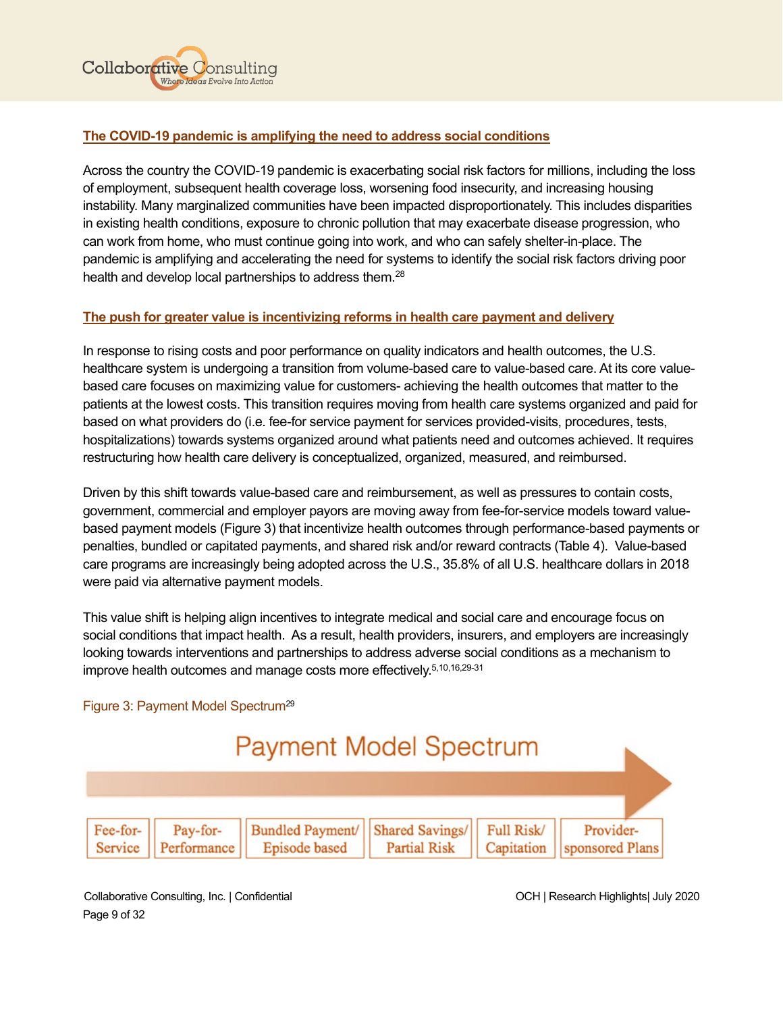

# <span id="page-9-0"></span>**The COVID-19 pandemic is amplifying the need to address social conditions**

Across the country the COVID-19 pandemic is exacerbating social risk factors for millions, including the loss of employment, subsequent health coverage loss, worsening food insecurity, and increasing housing instability. Many marginalized communities have been impacted disproportionately. This includes disparities in existing health conditions, exposure to chronic pollution that may exacerbate disease progression, who can work from home, who must continue going into work, and who can safely shelter-in-place. The pandemic is amplifying and accelerating the need for systems to identify the social risk factors driving poor health and develop local partnerships to address them.<sup>28</sup>

# <span id="page-9-1"></span>**The push for greater value is incentivizing reforms in health care payment and delivery**

In response to rising costs and poor performance on quality indicators and health outcomes, the U.S. healthcare system is undergoing a transition from volume-based care to value-based care. At its core valuebased care focuses on maximizing value for customers- achieving the health outcomes that matter to the patients at the lowest costs. This transition requires moving from health care systems organized and paid for based on what providers do (i.e. fee-for service payment for services provided-visits, procedures, tests, hospitalizations) towards systems organized around what patients need and outcomes achieved. It requires restructuring how health care delivery is conceptualized, organized, measured, and reimbursed.

Driven by this shift towards value-based care and reimbursement, as well as pressures to contain costs, government, commercial and employer payors are moving away from fee-for-service models toward valuebased payment models (Figure 3) that incentivize health outcomes through performance-based payments or penalties, bundled or capitated payments, and shared risk and/or reward contracts (Table 4). Value-based care programs are increasingly being adopted across the U.S., 35.8% of all U.S. healthcare dollars in 2018 were paid via alternative payment models.

This value shift is helping align incentives to integrate medical and social care and encourage focus on social conditions that impact health. As a result, health providers, insurers, and employers are increasingly looking towards interventions and partnerships to address adverse social conditions as a mechanism to improve health outcomes and manage costs more effectively.<sup>5,10,16,29-31</sup>

# Figure 3: Payment Model Spectrum29



Collaborative Consulting, Inc. | Confidential OCH | Research Highlights| July 2020 Page 9 of 32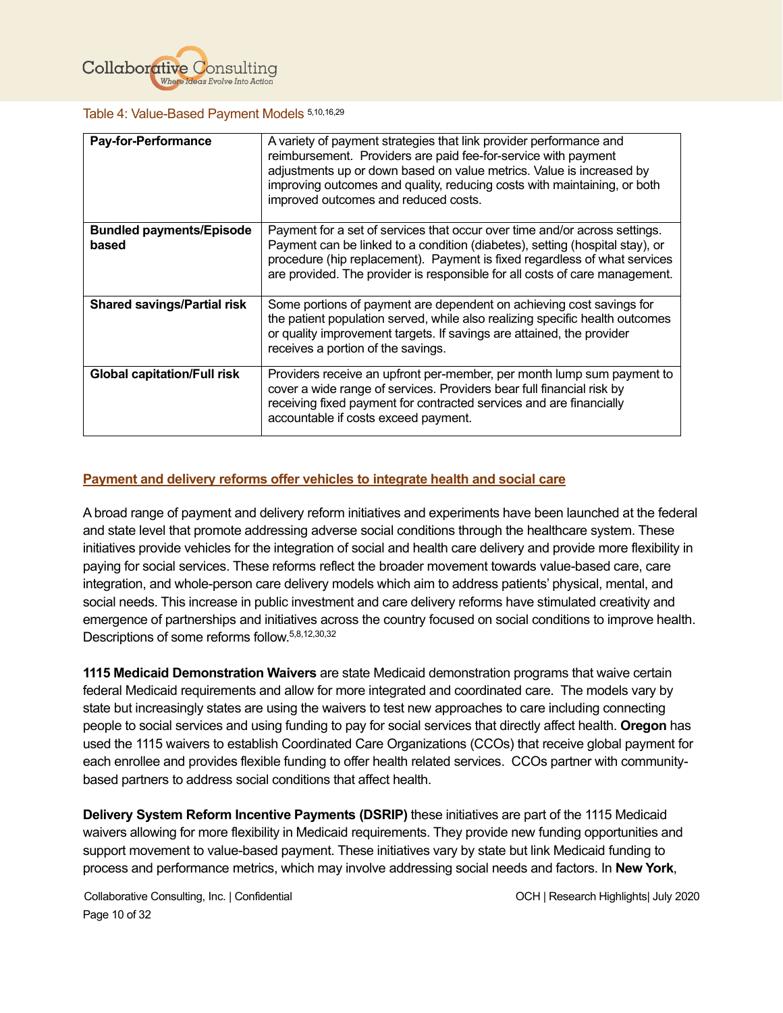

#### Table 4: Value-Based Payment Models 5,10,16,29

| <b>Pay-for-Performance</b>               | A variety of payment strategies that link provider performance and<br>reimbursement. Providers are paid fee-for-service with payment<br>adjustments up or down based on value metrics. Value is increased by<br>improving outcomes and quality, reducing costs with maintaining, or both<br>improved outcomes and reduced costs. |
|------------------------------------------|----------------------------------------------------------------------------------------------------------------------------------------------------------------------------------------------------------------------------------------------------------------------------------------------------------------------------------|
| <b>Bundled payments/Episode</b><br>based | Payment for a set of services that occur over time and/or across settings.<br>Payment can be linked to a condition (diabetes), setting (hospital stay), or<br>procedure (hip replacement). Payment is fixed regardless of what services<br>are provided. The provider is responsible for all costs of care management.           |
| <b>Shared savings/Partial risk</b>       | Some portions of payment are dependent on achieving cost savings for<br>the patient population served, while also realizing specific health outcomes<br>or quality improvement targets. If savings are attained, the provider<br>receives a portion of the savings.                                                              |
| <b>Global capitation/Full risk</b>       | Providers receive an upfront per-member, per month lump sum payment to<br>cover a wide range of services. Providers bear full financial risk by<br>receiving fixed payment for contracted services and are financially<br>accountable if costs exceed payment.                                                                   |

# <span id="page-10-0"></span>**Payment and delivery reforms offer vehicles to integrate health and social care**

A broad range of payment and delivery reform initiatives and experiments have been launched at the federal and state level that promote addressing adverse social conditions through the healthcare system. These initiatives provide vehicles for the integration of social and health care delivery and provide more flexibility in paying for social services. These reforms reflect the broader movement towards value-based care, care integration, and whole-person care delivery models which aim to address patients' physical, mental, and social needs. This increase in public investment and care delivery reforms have stimulated creativity and emergence of partnerships and initiatives across the country focused on social conditions to improve health. Descriptions of some reforms follow. 5,8,12,30,32

**1115 Medicaid Demonstration Waivers** are state Medicaid demonstration programs that waive certain federal Medicaid requirements and allow for more integrated and coordinated care. The models vary by state but increasingly states are using the waivers to test new approaches to care including connecting people to social services and using funding to pay for social services that directly affect health. **Oregon** has used the 1115 waivers to establish Coordinated Care Organizations (CCOs) that receive global payment for each enrollee and provides flexible funding to offer health related services. CCOs partner with communitybased partners to address social conditions that affect health.

**Delivery System Reform Incentive Payments (DSRIP)** these initiatives are part of the 1115 Medicaid waivers allowing for more flexibility in Medicaid requirements. They provide new funding opportunities and support movement to value-based payment. These initiatives vary by state but link Medicaid funding to process and performance metrics, which may involve addressing social needs and factors. In **New York**,

Collaborative Consulting, Inc. | Confidential OCH | Research Highlights| July 2020 Page 10 of 32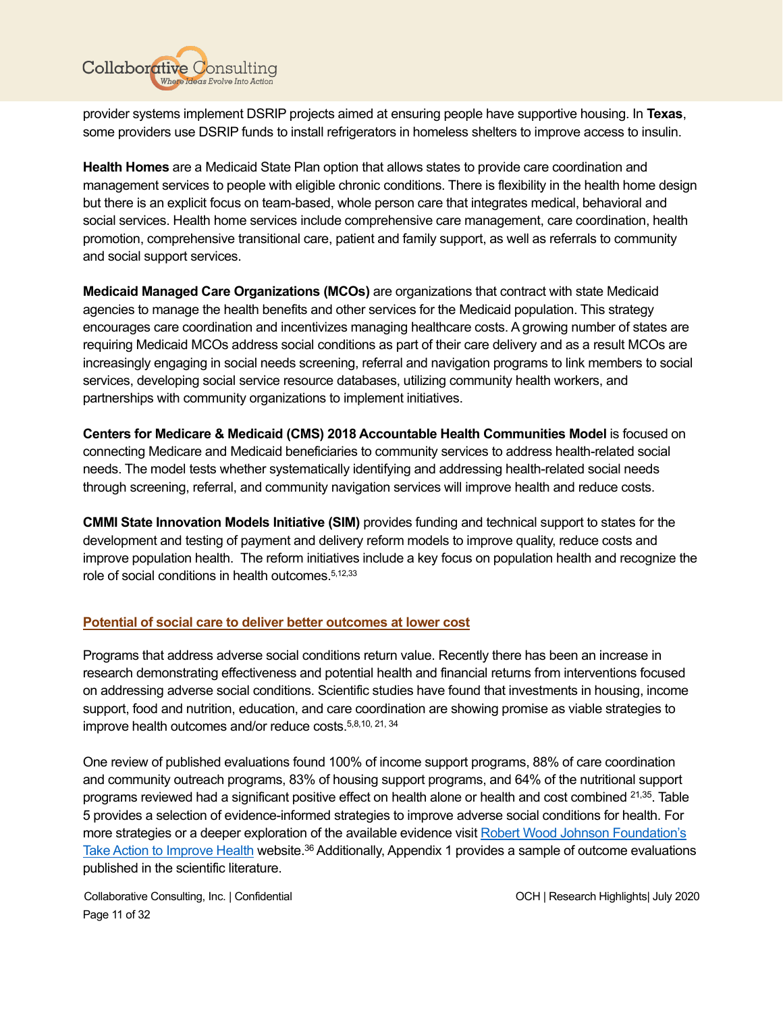

provider systems implement DSRIP projects aimed at ensuring people have supportive housing. In **Texas**, some providers use DSRIP funds to install refrigerators in homeless shelters to improve access to insulin.

**Health Homes** are a Medicaid State Plan option that allows states to provide care coordination and management services to people with eligible chronic conditions. There is flexibility in the health home design but there is an explicit focus on team-based, whole person care that integrates medical, behavioral and social services. Health home services include comprehensive care management, care coordination, health promotion, comprehensive transitional care, patient and family support, as well as referrals to community and social support services.

**Medicaid Managed Care Organizations (MCOs)** are organizations that contract with state Medicaid agencies to manage the health benefits and other services for the Medicaid population. This strategy encourages care coordination and incentivizes managing healthcare costs. A growing number of states are requiring Medicaid MCOs address social conditions as part of their care delivery and as a result MCOs are increasingly engaging in social needs screening, referral and navigation programs to link members to social services, developing social service resource databases, utilizing community health workers, and partnerships with community organizations to implement initiatives.

**Centers for Medicare & Medicaid (CMS) 2018 Accountable Health Communities Model** is focused on connecting Medicare and Medicaid beneficiaries to community services to address health-related social needs. The model tests whether systematically identifying and addressing health-related social needs through screening, referral, and community navigation services will improve health and reduce costs.

**CMMI State Innovation Models Initiative (SIM)** provides funding and technical support to states for the development and testing of payment and delivery reform models to improve quality, reduce costs and improve population health. The reform initiatives include a key focus on population health and recognize the role of social conditions in health outcomes.5,12,33

# <span id="page-11-0"></span>**Potential of social care to deliver better outcomes at lower cost**

Programs that address adverse social conditions return value. Recently there has been an increase in research demonstrating effectiveness and potential health and financial returns from interventions focused on addressing adverse social conditions. Scientific studies have found that investments in housing, income support, food and nutrition, education, and care coordination are showing promise as viable strategies to improve health outcomes and/or reduce costs.<sup>5,8,10, 21, 34</sup>

One review of published evaluations found 100% of income support programs, 88% of care coordination and community outreach programs, 83% of housing support programs, and 64% of the nutritional support programs reviewed had a significant positive effect on health alone or health and cost combined <sup>21,35</sup>. Table 5 provides a selection of evidence-informed strategies to improve adverse social conditions for health. For more strategies or a deeper exploration of the available evidence visit Robert Wood [Johnson Foundation's](https://www.countyhealthrankings.org/take-action-to-improve-health/what-works-for-health)  [Take Action to Improve Health](https://www.countyhealthrankings.org/take-action-to-improve-health/what-works-for-health) website.<sup>36</sup> Additionally, Appendix 1 provides a sample of outcome evaluations published in the scientific literature.

Collaborative Consulting, Inc. | Confidential OCH | Research Highlights| July 2020 Page 11 of 32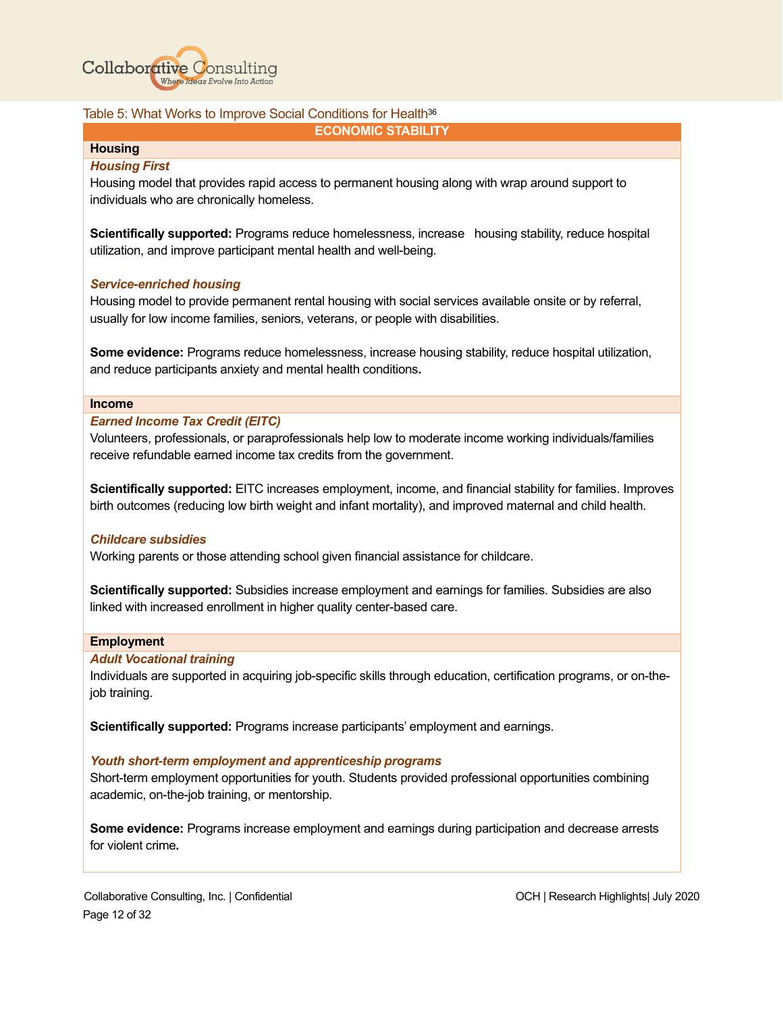

#### Table 5: What Works to Improve Social Conditions for Health<sup>36</sup>

#### **ECONOMIC STABILITY**

# **Housing**

#### *Housing First*

Housing model that provides rapid access to permanent housing along with wrap around support to individuals who are chronically homeless.

**Scientifically supported:** Programs reduce homelessness, increase housing stability, reduce hospital utilization, and improve participant mental health and well-being.

#### *Service-enriched housing*

Housing model to provide permanent rental housing with social services available onsite or by referral, usually for low income families, seniors, veterans, or people with disabilities.

**Some evidence:** Programs reduce homelessness, increase housing stability, reduce hospital utilization, and reduce participants anxiety and mental health conditions**.** 

#### **Income**

#### *Earned Income Tax Credit (EITC)*

Volunteers, professionals, or paraprofessionals help low to moderate income working individuals/families receive refundable earned income tax credits from the government.

**Scientifically supported:** EITC increases employment, income, and financial stability for families. Improves birth outcomes (reducing low birth weight and infant mortality), and improved maternal and child health.

#### *Childcare subsidies*

Working parents or those attending school given financial assistance for childcare.

**Scientifically supported:** Subsidies increase employment and earnings for families. Subsidies are also linked with increased enrollment in higher quality center-based care.

#### **Employment**

#### *Adult Vocational training*

Individuals are supported in acquiring job-specific skills through education, certification programs, or on-thejob training.

**Scientifically supported:** Programs increase participants' employment and earnings.

#### *Youth short-term employment and apprenticeship programs*

Short-term employment opportunities for youth. Students provided professional opportunities combining academic, on-the-job training, or mentorship.

**Some evidence:** Programs increase employment and earnings during participation and decrease arrests for violent crime**.**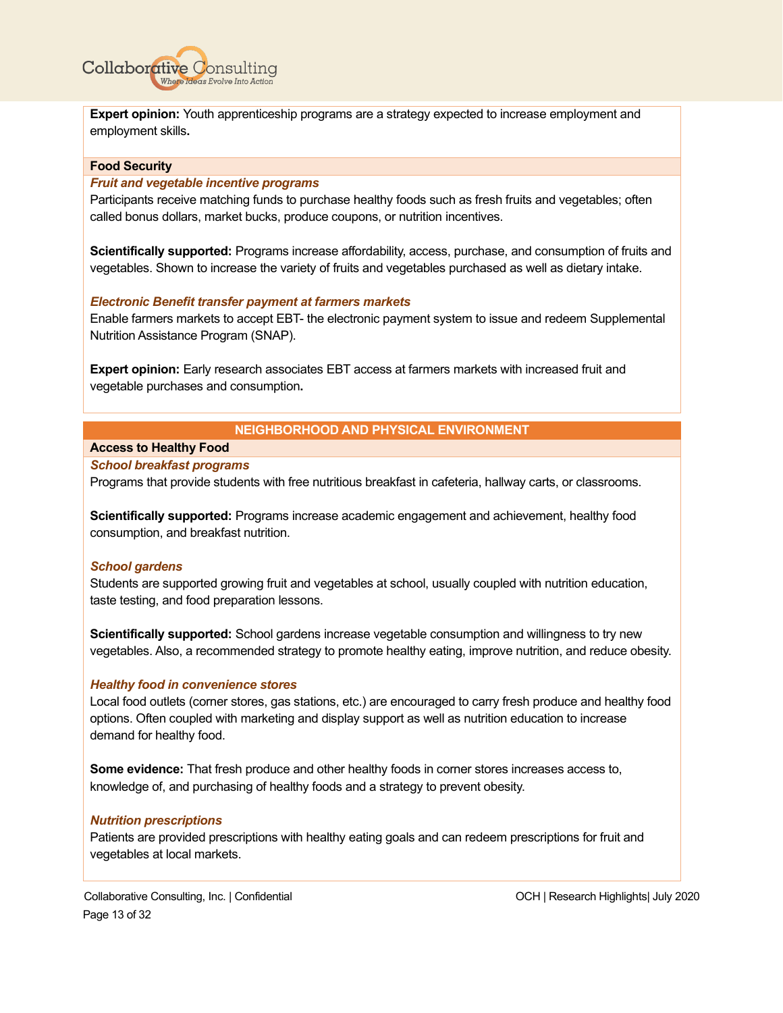

**Expert opinion:** Youth apprenticeship programs are a strategy expected to increase employment and employment skills**.**

#### **Food Security**

#### *Fruit and vegetable incentive programs*

Participants receive matching funds to purchase healthy foods such as fresh fruits and vegetables; often called bonus dollars, market bucks, produce coupons, or nutrition incentives.

**Scientifically supported:** Programs increase affordability, access, purchase, and consumption of fruits and vegetables. Shown to increase the variety of fruits and vegetables purchased as well as dietary intake.

#### *Electronic Benefit transfer payment at farmers markets*

Enable farmers markets to accept EBT- the electronic payment system to issue and redeem Supplemental Nutrition Assistance Program (SNAP).

**Expert opinion:** Early research associates EBT access at farmers markets with increased fruit and vegetable purchases and consumption**.**

#### **NEIGHBORHOOD AND PHYSICAL ENVIRONMENT**

#### **Access to Healthy Food**

#### *School breakfast programs*

Programs that provide students with free nutritious breakfast in cafeteria, hallway carts, or classrooms.

**Scientifically supported:** Programs increase academic engagement and achievement, healthy food consumption, and breakfast nutrition.

#### *School gardens*

Students are supported growing fruit and vegetables at school, usually coupled with nutrition education, taste testing, and food preparation lessons.

**Scientifically supported:** School gardens increase vegetable consumption and willingness to try new vegetables. Also, a recommended strategy to promote healthy eating, improve nutrition, and reduce obesity.

#### *Healthy food in convenience stores*

Local food outlets (corner stores, gas stations, etc.) are encouraged to carry fresh produce and healthy food options. Often coupled with marketing and display support as well as nutrition education to increase demand for healthy food.

**Some evidence:** That fresh produce and other healthy foods in corner stores increases access to, knowledge of, and purchasing of healthy foods and a strategy to prevent obesity.

#### *Nutrition prescriptions*

Patients are provided prescriptions with healthy eating goals and can redeem prescriptions for fruit and vegetables at local markets.

Collaborative Consulting, Inc. | Confidential OCH | Research Highlights| July 2020 Page 13 of 32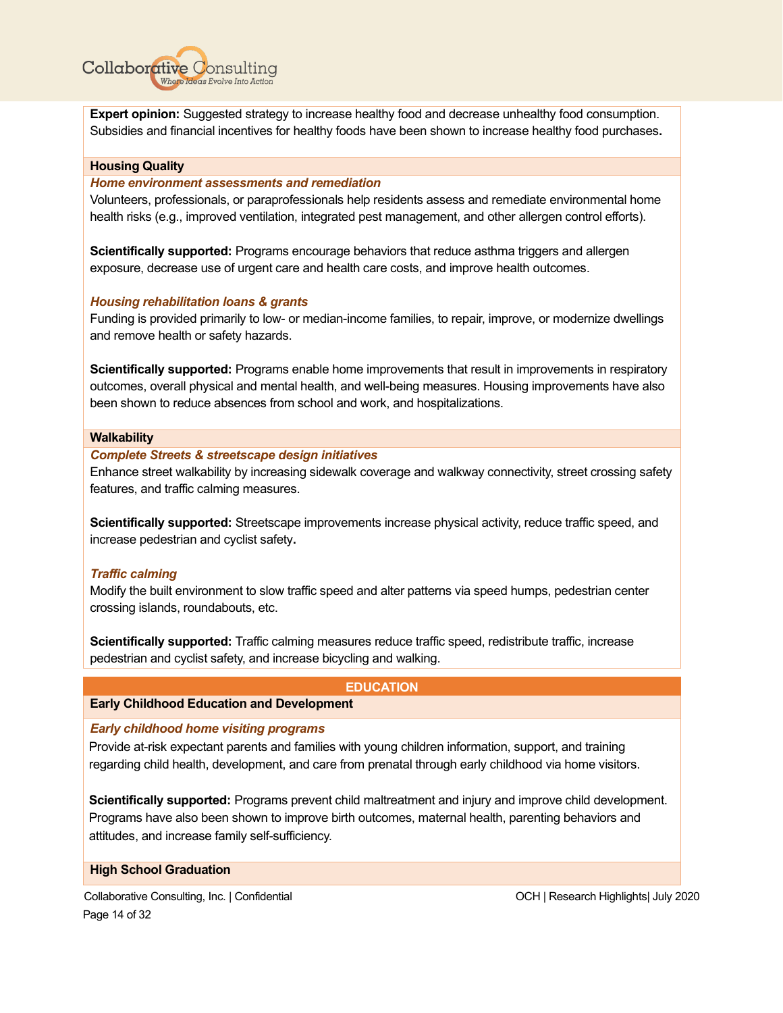

**Expert opinion:** Suggested strategy to increase healthy food and decrease unhealthy food consumption. Subsidies and financial incentives for healthy foods have been shown to increase healthy food purchases**.**

#### **Housing Quality**

#### *Home environment assessments and remediation*

Volunteers, professionals, or paraprofessionals help residents assess and remediate environmental home health risks (e.g., improved ventilation, integrated pest management, and other allergen control efforts).

**Scientifically supported:** Programs encourage behaviors that reduce asthma triggers and allergen exposure, decrease use of urgent care and health care costs, and improve health outcomes.

#### *Housing rehabilitation loans & grants*

Funding is provided primarily to low- or median-income families, to repair, improve, or modernize dwellings and remove health or safety hazards.

**Scientifically supported:** Programs enable home improvements that result in improvements in respiratory outcomes, overall physical and mental health, and well-being measures. Housing improvements have also been shown to reduce absences from school and work, and hospitalizations.

#### **Walkability**

*Complete Streets & streetscape design initiatives*

Enhance street walkability by increasing sidewalk coverage and walkway connectivity, street crossing safety features, and traffic calming measures.

**Scientifically supported:** Streetscape improvements increase physical activity, reduce traffic speed, and increase pedestrian and cyclist safety**.** 

#### *Traffic calming*

Modify the built environment to slow traffic speed and alter patterns via speed humps, pedestrian center crossing islands, roundabouts, etc.

**Scientifically supported:** Traffic calming measures reduce traffic speed, redistribute traffic, increase pedestrian and cyclist safety, and increase bicycling and walking.

#### **EDUCATION**

# **Early Childhood Education and Development**

*Early childhood home visiting programs*

Provide at-risk expectant parents and families with young children information, support, and training regarding child health, development, and care from prenatal through early childhood via home visitors.

**Scientifically supported:** Programs prevent child maltreatment and injury and improve child development. Programs have also been shown to improve birth outcomes, maternal health, parenting behaviors and attitudes, and increase family self-sufficiency.

#### **High School Graduation**

Collaborative Consulting, Inc. | Confidential OCH | Research Highlights| July 2020 Page 14 of 32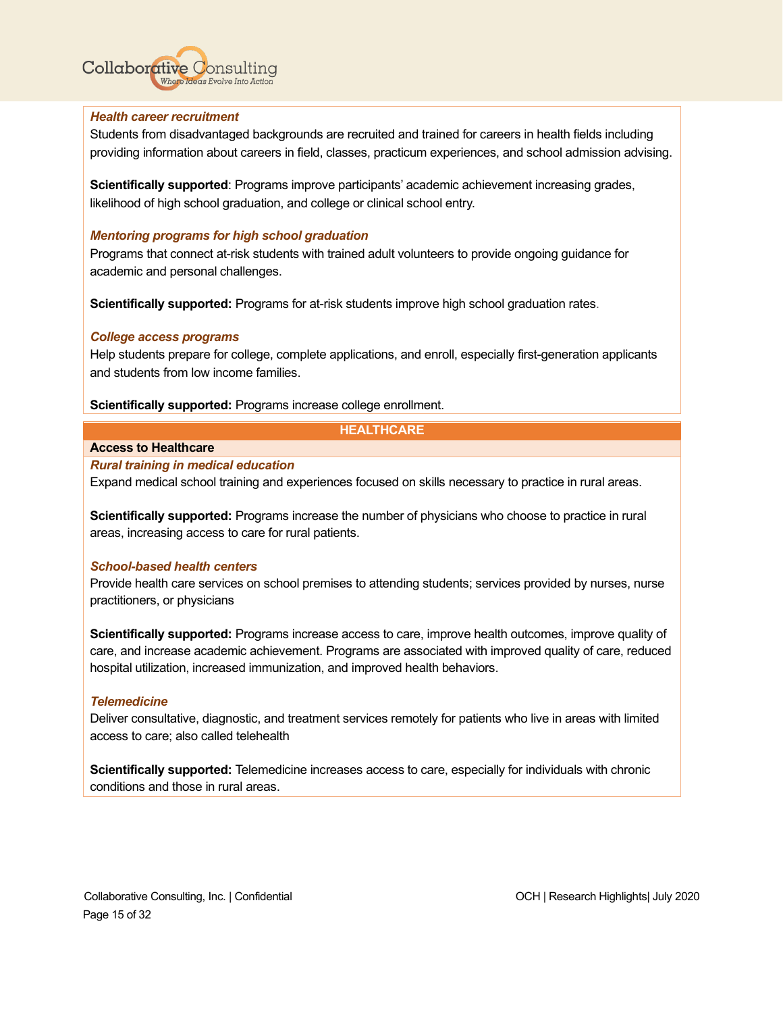

#### *Health career recruitment*

Students from disadvantaged backgrounds are recruited and trained for careers in health fields including providing information about careers in field, classes, practicum experiences, and school admission advising.

**Scientifically supported**: Programs improve participants' academic achievement increasing grades, likelihood of high school graduation, and college or clinical school entry.

#### *Mentoring programs for high school graduation*

Programs that connect at-risk students with trained adult volunteers to provide ongoing guidance for academic and personal challenges.

**Scientifically supported:** Programs for at-risk students improve high school graduation rates.

#### *College access programs*

Help students prepare for college, complete applications, and enroll, especially first-generation applicants and students from low income families.

**Scientifically supported:** Programs increase college enrollment.

#### **HEALTHCARE**

#### **Access to Healthcare**

#### *Rural training in medical education*

Expand medical school training and experiences focused on skills necessary to practice in rural areas.

**Scientifically supported:** Programs increase the number of physicians who choose to practice in rural areas, increasing access to care for rural patients.

#### *School-based health centers*

Provide health care services on school premises to attending students; services provided by nurses, nurse practitioners, or physicians

**Scientifically supported:** Programs increase access to care, improve health outcomes, improve quality of care, and increase academic achievement. Programs are associated with improved quality of care, reduced hospital utilization, increased immunization, and improved health behaviors.

#### *Telemedicine*

Deliver consultative, diagnostic, and treatment services remotely for patients who live in areas with limited access to care; also called telehealth

**Scientifically supported:** Telemedicine increases access to care, especially for individuals with chronic conditions and those in rural areas.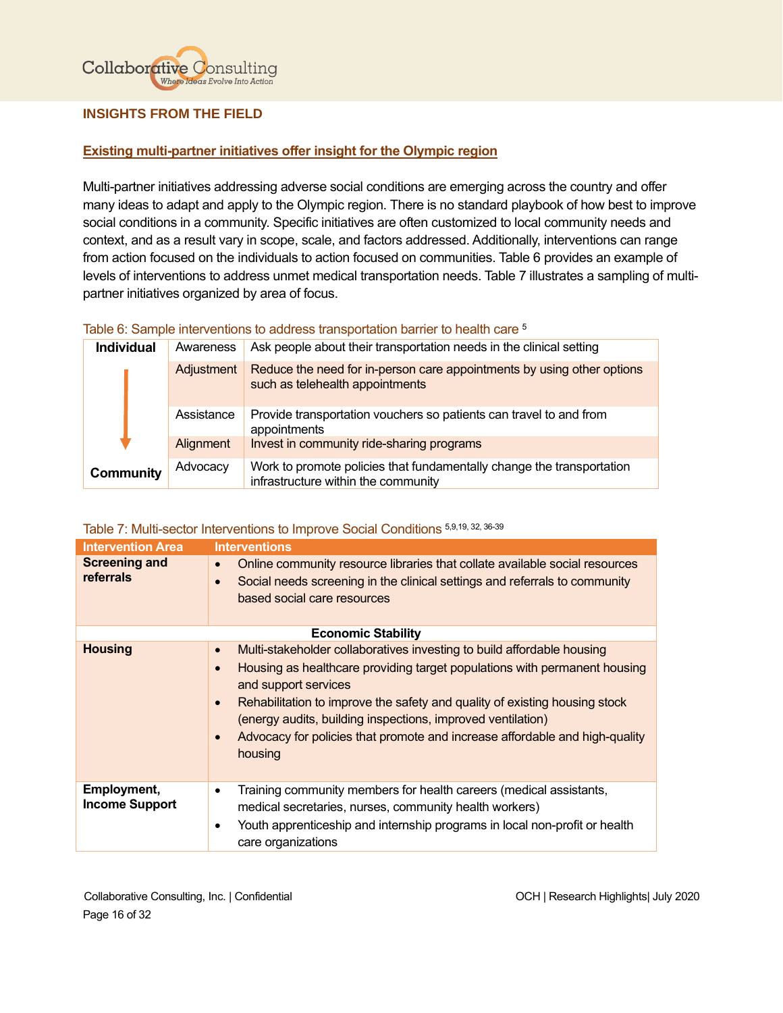

# <span id="page-16-0"></span>**INSIGHTS FROM THE FIELD**

# <span id="page-16-1"></span>**Existing multi-partner initiatives offer insight for the Olympic region**

Multi-partner initiatives addressing adverse social conditions are emerging across the country and offer many ideas to adapt and apply to the Olympic region. There is no standard playbook of how best to improve social conditions in a community. Specific initiatives are often customized to local community needs and context, and as a result vary in scope, scale, and factors addressed. Additionally, interventions can range from action focused on the individuals to action focused on communities. Table 6 provides an example of levels of interventions to address unmet medical transportation needs. Table 7 illustrates a sampling of multipartner initiatives organized by area of focus.

#### Table 6: Sample interventions to address transportation barrier to health care <sup>5</sup>

| <b>Individual</b><br>Awareness |            | Ask people about their transportation needs in the clinical setting                                          |
|--------------------------------|------------|--------------------------------------------------------------------------------------------------------------|
|                                | Adjustment | Reduce the need for in-person care appointments by using other options<br>such as telehealth appointments    |
|                                | Assistance | Provide transportation vouchers so patients can travel to and from<br>appointments                           |
|                                | Alignment  | Invest in community ride-sharing programs                                                                    |
| <b>Community</b>               | Advocacy   | Work to promote policies that fundamentally change the transportation<br>infrastructure within the community |

# Table 7: Multi-sector Interventions to Improve Social Conditions 5,9,19, 32, 36-39

| <b>Intervention Area</b>                    | <b>Interventions</b>                                                                                                                                                                                                                                                                                                                                                                                                                                                   |
|---------------------------------------------|------------------------------------------------------------------------------------------------------------------------------------------------------------------------------------------------------------------------------------------------------------------------------------------------------------------------------------------------------------------------------------------------------------------------------------------------------------------------|
| <b>Screening and</b><br>referrals           | Online community resource libraries that collate available social resources<br>$\bullet$<br>Social needs screening in the clinical settings and referrals to community<br>$\bullet$<br>based social care resources                                                                                                                                                                                                                                                     |
|                                             | <b>Economic Stability</b>                                                                                                                                                                                                                                                                                                                                                                                                                                              |
| <b>Housing</b>                              | Multi-stakeholder collaboratives investing to build affordable housing<br>$\bullet$<br>Housing as healthcare providing target populations with permanent housing<br>$\bullet$<br>and support services<br>Rehabilitation to improve the safety and quality of existing housing stock<br>$\bullet$<br>(energy audits, building inspections, improved ventilation)<br>Advocacy for policies that promote and increase affordable and high-quality<br>$\bullet$<br>housing |
| <b>Employment,</b><br><b>Income Support</b> | Training community members for health careers (medical assistants,<br>$\bullet$<br>medical secretaries, nurses, community health workers)<br>Youth apprenticeship and internship programs in local non-profit or health<br>٠<br>care organizations                                                                                                                                                                                                                     |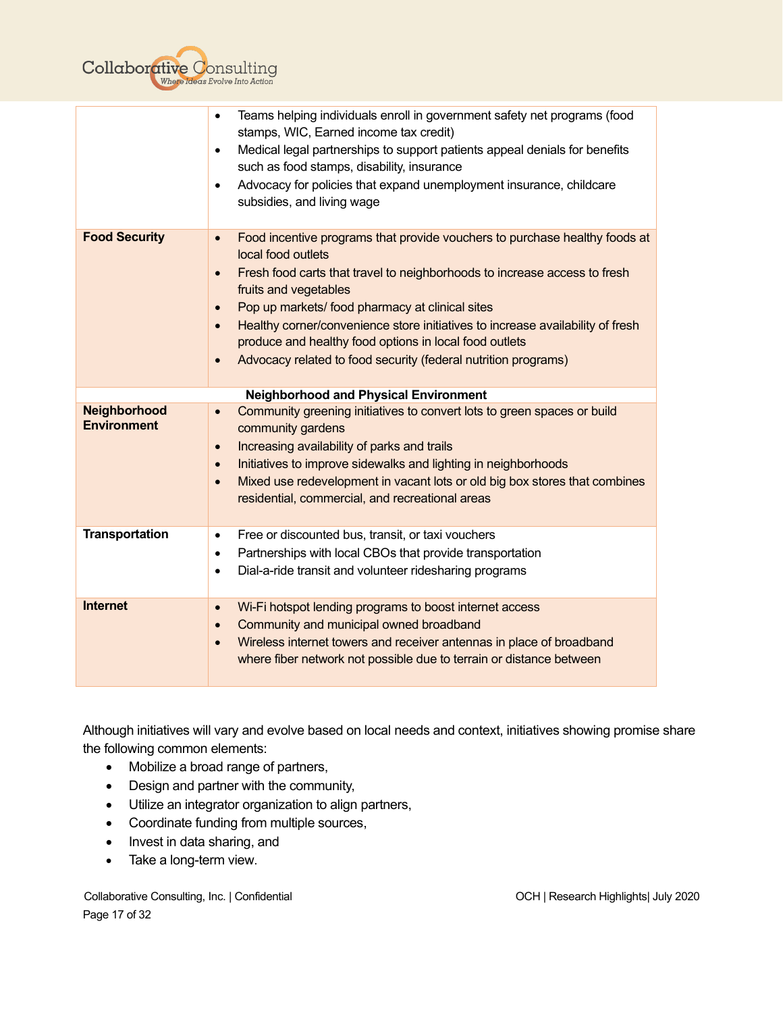

|                                    | Teams helping individuals enroll in government safety net programs (food<br>$\bullet$<br>stamps, WIC, Earned income tax credit)<br>Medical legal partnerships to support patients appeal denials for benefits<br>$\bullet$<br>such as food stamps, disability, insurance<br>Advocacy for policies that expand unemployment insurance, childcare<br>$\bullet$<br>subsidies, and living wage                                                                                                                                               |
|------------------------------------|------------------------------------------------------------------------------------------------------------------------------------------------------------------------------------------------------------------------------------------------------------------------------------------------------------------------------------------------------------------------------------------------------------------------------------------------------------------------------------------------------------------------------------------|
| <b>Food Security</b>               | Food incentive programs that provide vouchers to purchase healthy foods at<br>$\bullet$<br>local food outlets<br>Fresh food carts that travel to neighborhoods to increase access to fresh<br>$\bullet$<br>fruits and vegetables<br>Pop up markets/ food pharmacy at clinical sites<br>$\bullet$<br>Healthy corner/convenience store initiatives to increase availability of fresh<br>$\bullet$<br>produce and healthy food options in local food outlets<br>Advocacy related to food security (federal nutrition programs)<br>$\bullet$ |
|                                    | <b>Neighborhood and Physical Environment</b>                                                                                                                                                                                                                                                                                                                                                                                                                                                                                             |
| Neighborhood<br><b>Environment</b> | Community greening initiatives to convert lots to green spaces or build<br>$\bullet$<br>community gardens<br>Increasing availability of parks and trails<br>$\bullet$<br>Initiatives to improve sidewalks and lighting in neighborhoods<br>$\bullet$<br>Mixed use redevelopment in vacant lots or old big box stores that combines<br>$\bullet$<br>residential, commercial, and recreational areas                                                                                                                                       |
| <b>Transportation</b>              | Free or discounted bus, transit, or taxi vouchers<br>$\bullet$<br>Partnerships with local CBOs that provide transportation<br>$\bullet$<br>Dial-a-ride transit and volunteer ridesharing programs<br>$\bullet$                                                                                                                                                                                                                                                                                                                           |
| <b>Internet</b>                    | Wi-Fi hotspot lending programs to boost internet access<br>$\bullet$<br>Community and municipal owned broadband<br>$\bullet$<br>Wireless internet towers and receiver antennas in place of broadband<br>$\bullet$<br>where fiber network not possible due to terrain or distance between                                                                                                                                                                                                                                                 |

Although initiatives will vary and evolve based on local needs and context, initiatives showing promise share the following common elements:

- Mobilize a broad range of partners,
- Design and partner with the community,
- Utilize an integrator organization to align partners,
- Coordinate funding from multiple sources,
- Invest in data sharing, and
- Take a long-term view.

Collaborative Consulting, Inc. | Confidential **OCH | Research Highlights| July 2020** Page 17 of 32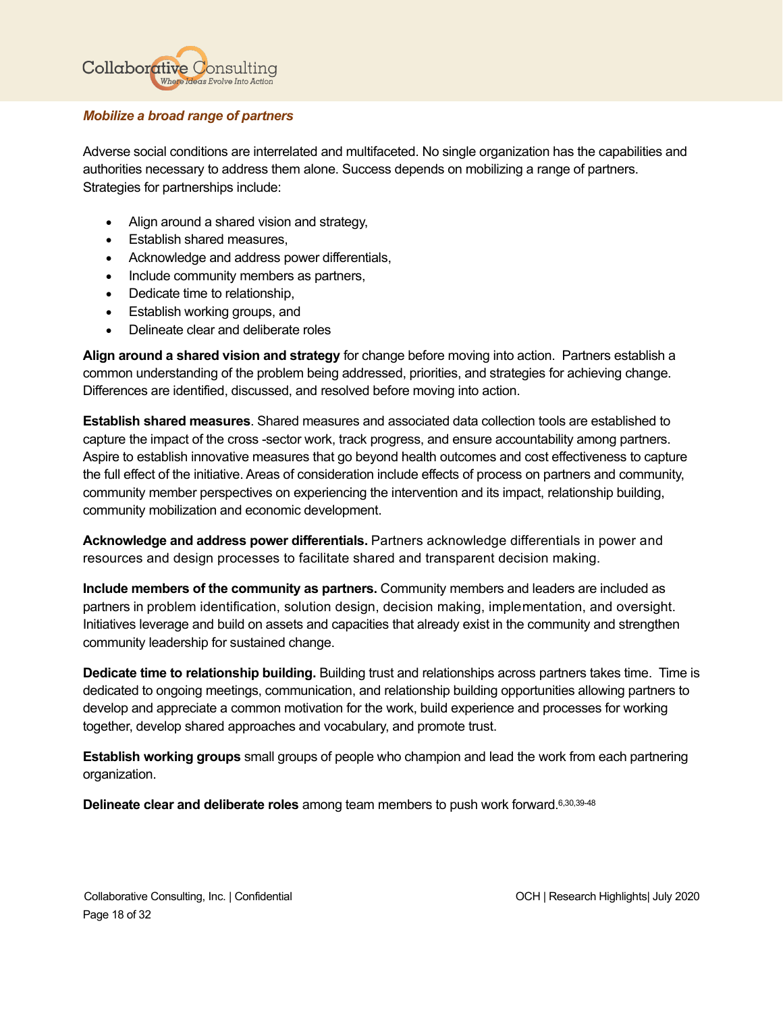

# *Mobilize a broad range of partners*

Adverse social conditions are interrelated and multifaceted. No single organization has the capabilities and authorities necessary to address them alone. Success depends on mobilizing a range of partners. Strategies for partnerships include:

- Align around a shared vision and strategy,
- Establish shared measures,
- Acknowledge and address power differentials,
- Include community members as partners,
- Dedicate time to relationship,
- Establish working groups, and
- Delineate clear and deliberate roles

**Align around a shared vision and strategy** for change before moving into action. Partners establish a common understanding of the problem being addressed, priorities, and strategies for achieving change. Differences are identified, discussed, and resolved before moving into action.

**Establish shared measures**. Shared measures and associated data collection tools are established to capture the impact of the cross -sector work, track progress, and ensure accountability among partners. Aspire to establish innovative measures that go beyond health outcomes and cost effectiveness to capture the full effect of the initiative. Areas of consideration include effects of process on partners and community, community member perspectives on experiencing the intervention and its impact, relationship building, community mobilization and economic development.

**Acknowledge and address power differentials.** Partners acknowledge differentials in power and resources and design processes to facilitate shared and transparent decision making.

**Include members of the community as partners.** Community members and leaders are included as partners in problem identification, solution design, decision making, implementation, and oversight. Initiatives leverage and build on assets and capacities that already exist in the community and strengthen community leadership for sustained change.

**Dedicate time to relationship building.** Building trust and relationships across partners takes time. Time is dedicated to ongoing meetings, communication, and relationship building opportunities allowing partners to develop and appreciate a common motivation for the work, build experience and processes for working together, develop shared approaches and vocabulary, and promote trust.

**Establish working groups** small groups of people who champion and lead the work from each partnering organization.

**Delineate clear and deliberate roles** among team members to push work forward. 6,30,39-48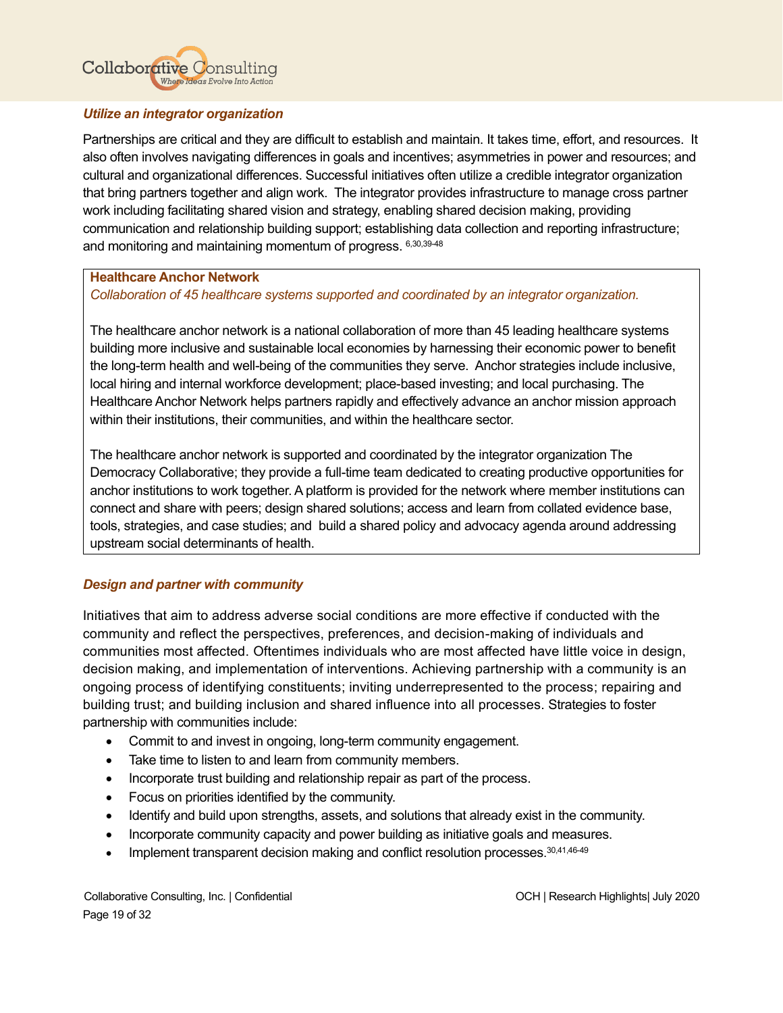# **Collaborative Consulting** Where Ideas Evolve Into Action

# *Utilize an integrator organization*

Partnerships are critical and they are difficult to establish and maintain. It takes time, effort, and resources. It also often involves navigating differences in goals and incentives; asymmetries in power and resources; and cultural and organizational differences. Successful initiatives often utilize a credible integrator organization that bring partners together and align work. The integrator provides infrastructure to manage cross partner work including facilitating shared vision and strategy, enabling shared decision making, providing communication and relationship building support; establishing data collection and reporting infrastructure; and monitoring and maintaining momentum of progress. 6,30,39-48

# **Healthcare Anchor Network**

*Collaboration of 45 healthcare systems supported and coordinated by an integrator organization.*

The healthcare anchor network is a national collaboration of more than 45 leading healthcare systems building more inclusive and sustainable local economies by harnessing their economic power to benefit the long-term health and well-being of the communities they serve. Anchor strategies include inclusive, local hiring and internal workforce development; place-based investing; and local purchasing. The Healthcare Anchor Network helps partners rapidly and effectively advance an anchor mission approach within their institutions, their communities, and within the healthcare sector.

The healthcare anchor network is supported and coordinated by the integrator organization The Democracy Collaborative; they provide a full-time team dedicated to creating productive opportunities for anchor institutions to work together. A platform is provided for the network where member institutions can connect and share with peers; design shared solutions; access and learn from collated evidence base, tools, strategies, and case studies; and build a shared policy and advocacy agenda around addressing upstream social determinants of health.

# *Design and partner with community*

Initiatives that aim to address adverse social conditions are more effective if conducted with the community and reflect the perspectives, preferences, and decision-making of individuals and communities most affected. Oftentimes individuals who are most affected have little voice in design, decision making, and implementation of interventions. Achieving partnership with a community is an ongoing process of identifying constituents; inviting underrepresented to the process; repairing and building trust; and building inclusion and shared influence into all processes. Strategies to foster partnership with communities include:

- Commit to and invest in ongoing, long-term community engagement.
- Take time to listen to and learn from community members.
- Incorporate trust building and relationship repair as part of the process.
- Focus on priorities identified by the community.
- Identify and build upon strengths, assets, and solutions that already exist in the community.
- Incorporate community capacity and power building as initiative goals and measures.
- Implement transparent decision making and conflict resolution processes. 30,41,46-49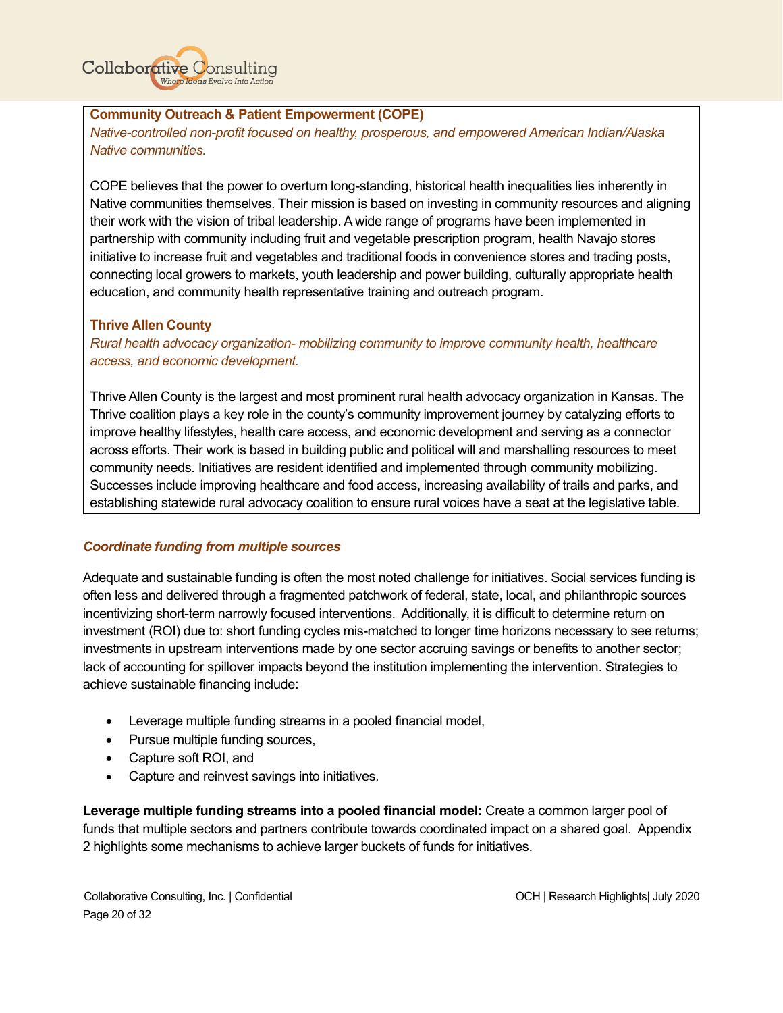

# **Community Outreach & Patient Empowerment (COPE)**

*Native-controlled non-profit focused on healthy, prosperous, and empowered American Indian/Alaska Native communities.* 

COPE believes that the power to overturn long-standing, historical health inequalities lies inherently in Native communities themselves. Their mission is based on investing in community resources and aligning their work with the vision of tribal leadership. A wide range of programs have been implemented in partnership with community including fruit and vegetable prescription program, health Navajo stores initiative to increase fruit and vegetables and traditional foods in convenience stores and trading posts, connecting local growers to markets, youth leadership and power building, culturally appropriate health education, and community health representative training and outreach program.

# **Thrive Allen County**

*Rural health advocacy organization- mobilizing community to improve community health, healthcare access, and economic development.*

Thrive Allen County is the largest and most prominent rural health advocacy organization in Kansas. The Thrive coalition plays a key role in the county's community improvement journey by catalyzing efforts to improve healthy lifestyles, health care access, and economic development and serving as a connector across efforts. Their work is based in building public and political will and marshalling resources to meet community needs. Initiatives are resident identified and implemented through community mobilizing. Successes include improving healthcare and food access, increasing availability of trails and parks, and establishing statewide rural advocacy coalition to ensure rural voices have a seat at the legislative table.

# *Coordinate funding from multiple sources*

Adequate and sustainable funding is often the most noted challenge for initiatives. Social services funding is often less and delivered through a fragmented patchwork of federal, state, local, and philanthropic sources incentivizing short-term narrowly focused interventions. Additionally, it is difficult to determine return on investment (ROI) due to: short funding cycles mis-matched to longer time horizons necessary to see returns; investments in upstream interventions made by one sector accruing savings or benefits to another sector; lack of accounting for spillover impacts beyond the institution implementing the intervention. Strategies to achieve sustainable financing include:

- Leverage multiple funding streams in a pooled financial model,
- Pursue multiple funding sources,
- Capture soft ROI, and
- Capture and reinvest savings into initiatives.

**Leverage multiple funding streams into a pooled financial model:** Create a common larger pool of funds that multiple sectors and partners contribute towards coordinated impact on a shared goal. Appendix 2 highlights some mechanisms to achieve larger buckets of funds for initiatives.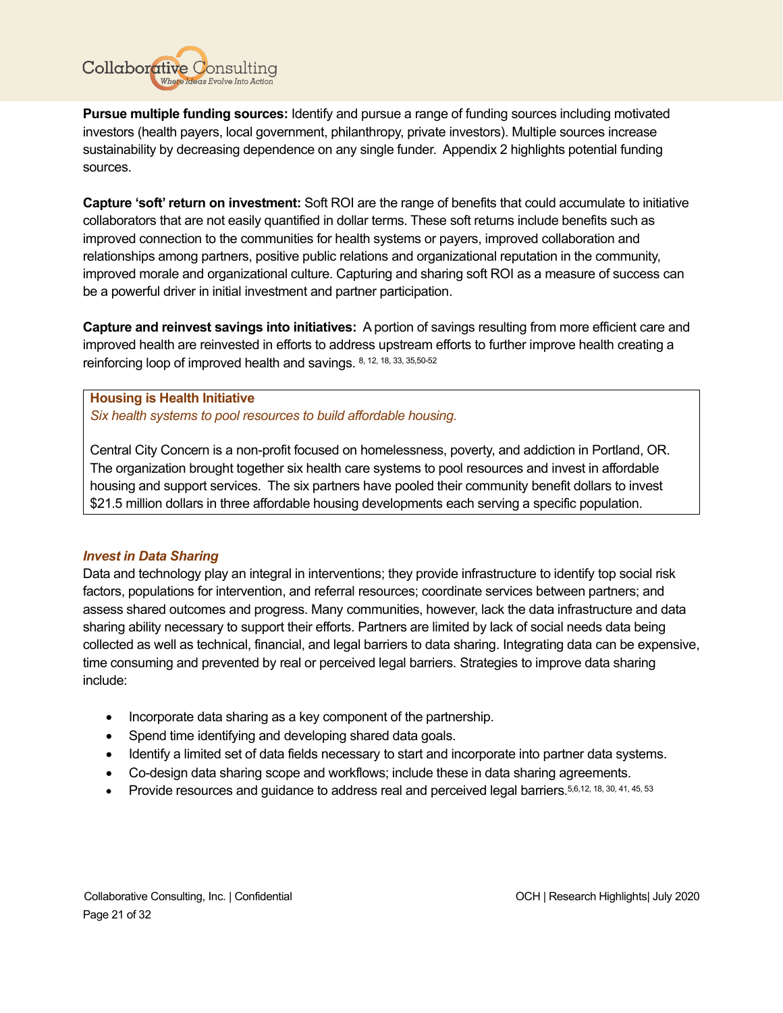

**Pursue multiple funding sources:** Identify and pursue a range of funding sources including motivated investors (health payers, local government, philanthropy, private investors). Multiple sources increase sustainability by decreasing dependence on any single funder. Appendix 2 highlights potential funding sources.

**Capture 'soft' return on investment:** Soft ROI are the range of benefits that could accumulate to initiative collaborators that are not easily quantified in dollar terms. These soft returns include benefits such as improved connection to the communities for health systems or payers, improved collaboration and relationships among partners, positive public relations and organizational reputation in the community, improved morale and organizational culture. Capturing and sharing soft ROI as a measure of success can be a powerful driver in initial investment and partner participation.

**Capture and reinvest savings into initiatives:** A portion of savings resulting from more efficient care and improved health are reinvested in efforts to address upstream efforts to further improve health creating a reinforcing loop of improved health and savings. 8, 12, 18, 33, 35, 50-52

**Housing is Health Initiative** *Six health systems to pool resources to build affordable housing.*

Central City Concern is a non-profit focused on homelessness, poverty, and addiction in Portland, OR. The organization brought together six health care systems to pool resources and invest in affordable housing and support services. The six partners have pooled their community benefit dollars to invest \$21.5 million dollars in three affordable housing developments each serving a specific population.

# *Invest in Data Sharing*

Data and technology play an integral in interventions; they provide infrastructure to identify top social risk factors, populations for intervention, and referral resources; coordinate services between partners; and assess shared outcomes and progress. Many communities, however, lack the data infrastructure and data sharing ability necessary to support their efforts. Partners are limited by lack of social needs data being collected as well as technical, financial, and legal barriers to data sharing. Integrating data can be expensive, time consuming and prevented by real or perceived legal barriers. Strategies to improve data sharing include:

- Incorporate data sharing as a key component of the partnership.
- Spend time identifying and developing shared data goals.
- Identify a limited set of data fields necessary to start and incorporate into partner data systems.
- Co-design data sharing scope and workflows; include these in data sharing agreements.
- Provide resources and guidance to address real and perceived legal barriers. 5,6,12, 18, 30, 41, 45, 53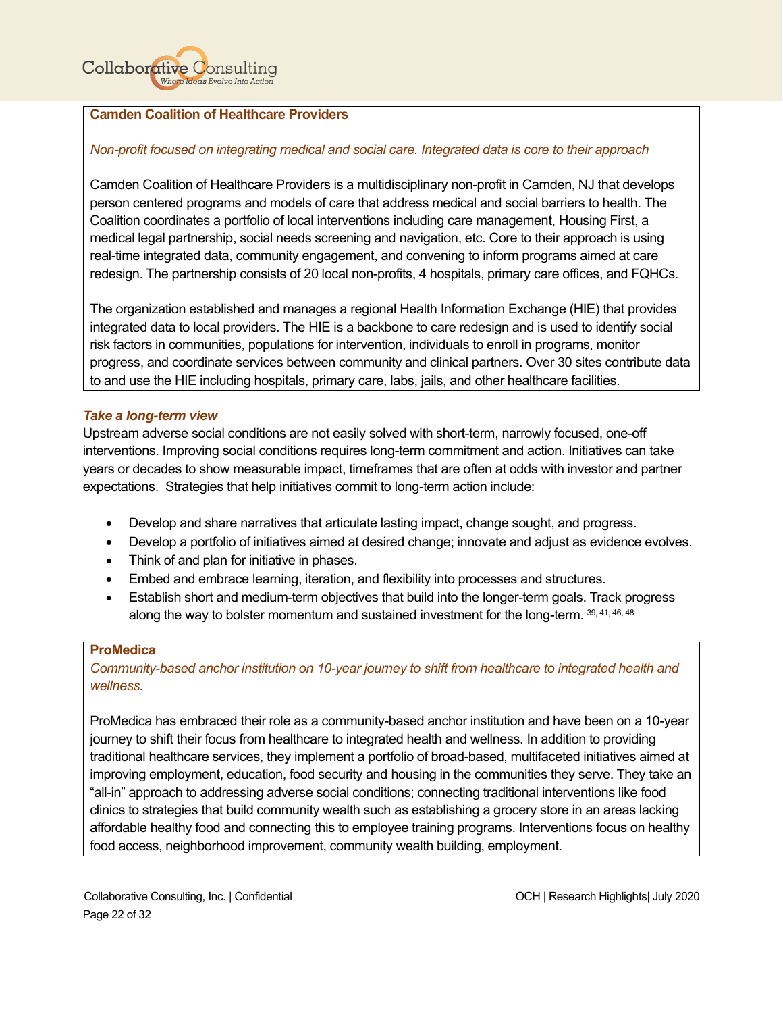

# **Camden Coalition of Healthcare Providers**

#### *Non-profit focused on integrating medical and social care. Integrated data is core to their approach*

Camden Coalition of Healthcare Providers is a multidisciplinary non-profit in Camden, NJ that develops person centered programs and models of care that address medical and social barriers to health. The Coalition coordinates a portfolio of local interventions including care management, Housing First, a medical legal partnership, social needs screening and navigation, etc. Core to their approach is using real-time integrated data, community engagement, and convening to inform programs aimed at care redesign. The partnership consists of 20 local non-profits, 4 hospitals, primary care offices, and FQHCs.

The organization established and manages a regional Health Information Exchange (HIE) that provides integrated data to local providers. The HIE is a backbone to care redesign and is used to identify social risk factors in communities, populations for intervention, individuals to enroll in programs, monitor progress, and coordinate services between community and clinical partners. Over 30 sites contribute data to and use the HIE including hospitals, primary care, labs, jails, and other healthcare facilities.

#### *Take a long-term view*

Upstream adverse social conditions are not easily solved with short-term, narrowly focused, one-off interventions. Improving social conditions requires long-term commitment and action. Initiatives can take years or decades to show measurable impact, timeframes that are often at odds with investor and partner expectations. Strategies that help initiatives commit to long-term action include:

- Develop and share narratives that articulate lasting impact, change sought, and progress.
- Develop a portfolio of initiatives aimed at desired change; innovate and adjust as evidence evolves.
- Think of and plan for initiative in phases.
- Embed and embrace learning, iteration, and flexibility into processes and structures.
- Establish short and medium-term objectives that build into the longer-term goals. Track progress along the way to bolster momentum and sustained investment for the long-term. 39, 41, 46, 48

#### **ProMedica**

*Community-based anchor institution on 10-year journey to shift from healthcare to integrated health and wellness.*

ProMedica has embraced their role as a community-based anchor institution and have been on a 10-year journey to shift their focus from healthcare to integrated health and wellness. In addition to providing traditional healthcare services, they implement a portfolio of broad-based, multifaceted initiatives aimed at improving employment, education, food security and housing in the communities they serve. They take an "all-in" approach to addressing adverse social conditions; connecting traditional interventions like food clinics to strategies that build community wealth such as establishing a grocery store in an areas lacking affordable healthy food and connecting this to employee training programs. Interventions focus on healthy food access, neighborhood improvement, community wealth building, employment.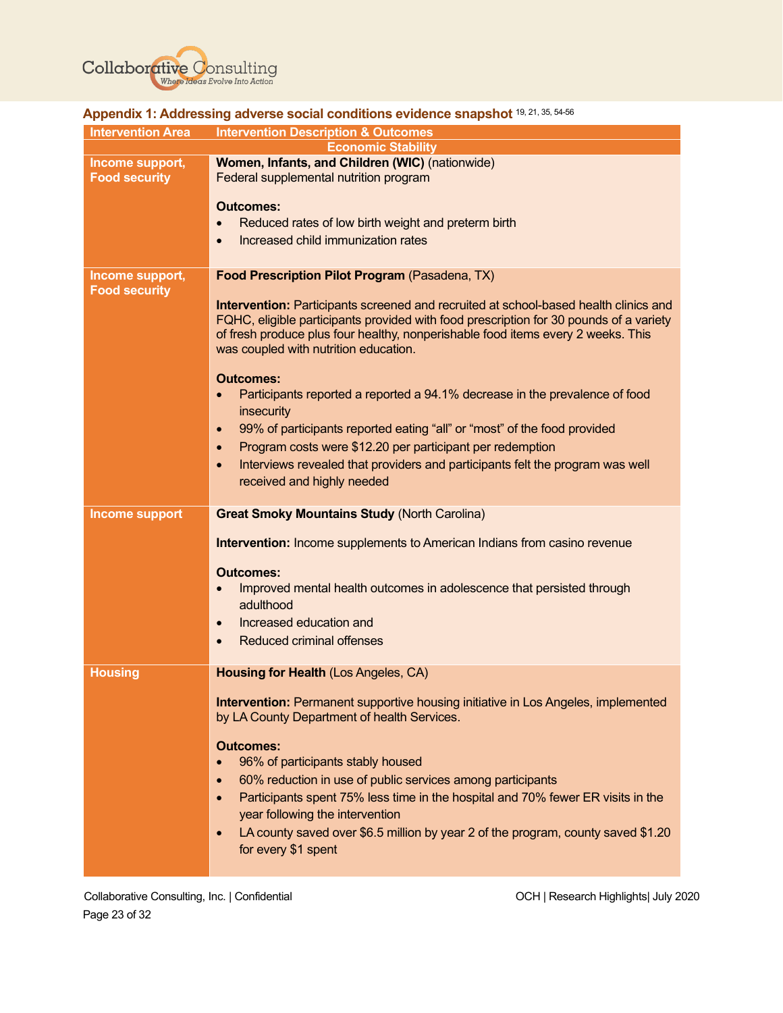

|                                         | $\mathsf{A}\mathsf{p}\mathsf{p}\mathsf{e}\mathsf{p}\mathsf{u}\mathsf{u}\mathsf{r}$ . Additional development of substituting $\mathsf{a}\mathsf{p}\mathsf{u}\mathsf{u}\mathsf{u}\mathsf{u}\mathsf{r}$                                                                                                                                                                                                                                                                                                                                                                                                                                                                                                                                                                                       |
|-----------------------------------------|--------------------------------------------------------------------------------------------------------------------------------------------------------------------------------------------------------------------------------------------------------------------------------------------------------------------------------------------------------------------------------------------------------------------------------------------------------------------------------------------------------------------------------------------------------------------------------------------------------------------------------------------------------------------------------------------------------------------------------------------------------------------------------------------|
| <b>Intervention Area</b>                | <b>Intervention Description &amp; Outcomes</b>                                                                                                                                                                                                                                                                                                                                                                                                                                                                                                                                                                                                                                                                                                                                             |
| Income support,<br><b>Food security</b> | <b>Economic Stability</b><br>Women, Infants, and Children (WIC) (nationwide)<br>Federal supplemental nutrition program<br><b>Outcomes:</b><br>Reduced rates of low birth weight and preterm birth<br>Increased child immunization rates                                                                                                                                                                                                                                                                                                                                                                                                                                                                                                                                                    |
| Income support,<br><b>Food security</b> | Food Prescription Pilot Program (Pasadena, TX)<br>Intervention: Participants screened and recruited at school-based health clinics and<br>FQHC, eligible participants provided with food prescription for 30 pounds of a variety<br>of fresh produce plus four healthy, nonperishable food items every 2 weeks. This<br>was coupled with nutrition education.<br><b>Outcomes:</b><br>Participants reported a reported a 94.1% decrease in the prevalence of food<br>$\bullet$<br>insecurity<br>99% of participants reported eating "all" or "most" of the food provided<br>$\bullet$<br>Program costs were \$12.20 per participant per redemption<br>$\bullet$<br>Interviews revealed that providers and participants felt the program was well<br>$\bullet$<br>received and highly needed |
| <b>Income support</b>                   | <b>Great Smoky Mountains Study (North Carolina)</b>                                                                                                                                                                                                                                                                                                                                                                                                                                                                                                                                                                                                                                                                                                                                        |
|                                         |                                                                                                                                                                                                                                                                                                                                                                                                                                                                                                                                                                                                                                                                                                                                                                                            |
|                                         | Intervention: Income supplements to American Indians from casino revenue<br><b>Outcomes:</b><br>Improved mental health outcomes in adolescence that persisted through<br>$\bullet$<br>adulthood<br>Increased education and<br>$\bullet$<br><b>Reduced criminal offenses</b><br>$\bullet$                                                                                                                                                                                                                                                                                                                                                                                                                                                                                                   |
| <b>Housing</b>                          | Housing for Health (Los Angeles, CA)<br><b>Intervention:</b> Permanent supportive housing initiative in Los Angeles, implemented                                                                                                                                                                                                                                                                                                                                                                                                                                                                                                                                                                                                                                                           |

# <span id="page-23-0"></span>**Appendix 1: Addressing adverse social conditions evidence snapshot** 19, 21, 35, 54-56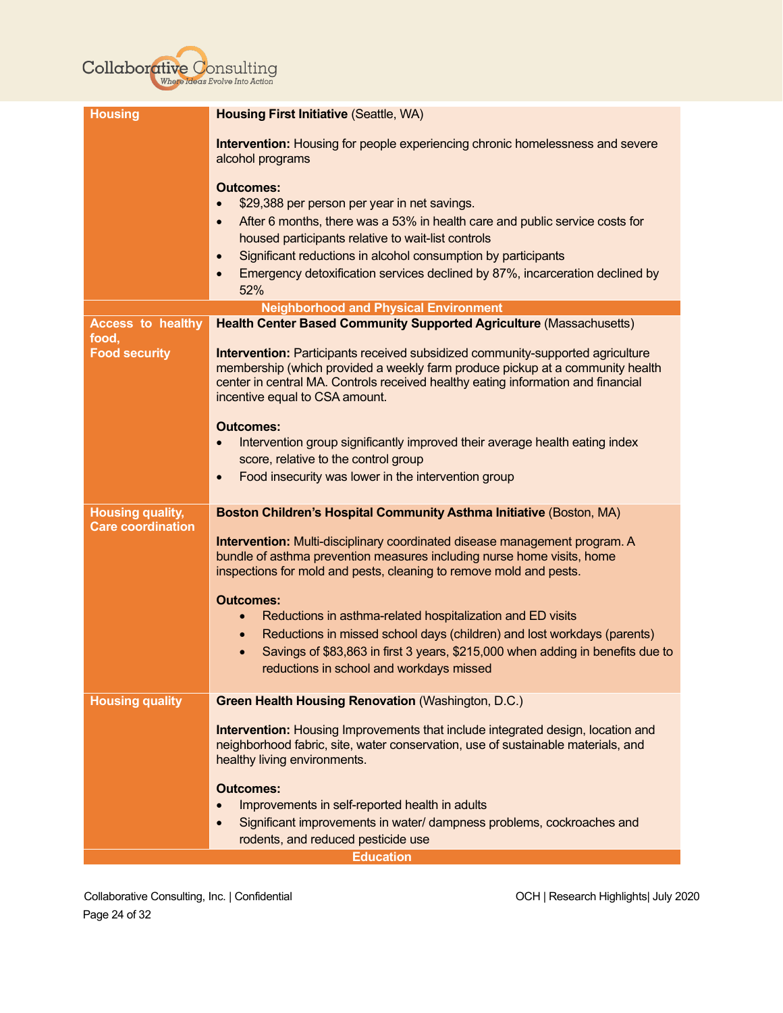# **Collaborative Consulting**

| <b>Housing</b>                                      | <b>Housing First Initiative (Seattle, WA)</b>                                                                                                                                       |
|-----------------------------------------------------|-------------------------------------------------------------------------------------------------------------------------------------------------------------------------------------|
|                                                     | Intervention: Housing for people experiencing chronic homelessness and severe<br>alcohol programs                                                                                   |
|                                                     | <b>Outcomes:</b>                                                                                                                                                                    |
|                                                     | \$29,388 per person per year in net savings.                                                                                                                                        |
|                                                     | After 6 months, there was a 53% in health care and public service costs for                                                                                                         |
|                                                     | housed participants relative to wait-list controls<br>Significant reductions in alcohol consumption by participants                                                                 |
|                                                     | Emergency detoxification services declined by 87%, incarceration declined by<br>$\bullet$                                                                                           |
|                                                     | 52%                                                                                                                                                                                 |
|                                                     | <b>Neighborhood and Physical Environment</b>                                                                                                                                        |
| <b>Access to healthy</b><br>food,                   | <b>Health Center Based Community Supported Agriculture (Massachusetts)</b>                                                                                                          |
| <b>Food security</b>                                | Intervention: Participants received subsidized community-supported agriculture                                                                                                      |
|                                                     | membership (which provided a weekly farm produce pickup at a community health                                                                                                       |
|                                                     | center in central MA. Controls received healthy eating information and financial<br>incentive equal to CSA amount.                                                                  |
|                                                     |                                                                                                                                                                                     |
|                                                     | <b>Outcomes:</b>                                                                                                                                                                    |
|                                                     | Intervention group significantly improved their average health eating index<br>score, relative to the control group                                                                 |
|                                                     | Food insecurity was lower in the intervention group<br>$\bullet$                                                                                                                    |
|                                                     |                                                                                                                                                                                     |
| <b>Housing quality,</b><br><b>Care coordination</b> | Boston Children's Hospital Community Asthma Initiative (Boston, MA)                                                                                                                 |
|                                                     | Intervention: Multi-disciplinary coordinated disease management program. A                                                                                                          |
|                                                     | bundle of asthma prevention measures including nurse home visits, home<br>inspections for mold and pests, cleaning to remove mold and pests.                                        |
|                                                     |                                                                                                                                                                                     |
|                                                     | <b>Outcomes:</b>                                                                                                                                                                    |
|                                                     | Reductions in asthma-related hospitalization and ED visits                                                                                                                          |
|                                                     | Reductions in missed school days (children) and lost workdays (parents)<br>$\bullet$<br>Savings of \$83,863 in first 3 years, \$215,000 when adding in benefits due to<br>$\bullet$ |
|                                                     | reductions in school and workdays missed                                                                                                                                            |
|                                                     |                                                                                                                                                                                     |
| <b>Housing quality</b>                              | <b>Green Health Housing Renovation (Washington, D.C.)</b>                                                                                                                           |
|                                                     | Intervention: Housing Improvements that include integrated design, location and                                                                                                     |
|                                                     | neighborhood fabric, site, water conservation, use of sustainable materials, and                                                                                                    |
|                                                     | healthy living environments.                                                                                                                                                        |
|                                                     | <b>Outcomes:</b>                                                                                                                                                                    |
|                                                     | Improvements in self-reported health in adults                                                                                                                                      |
|                                                     | Significant improvements in water/ dampness problems, cockroaches and<br>$\bullet$<br>rodents, and reduced pesticide use                                                            |
|                                                     | <b>Education</b>                                                                                                                                                                    |
|                                                     |                                                                                                                                                                                     |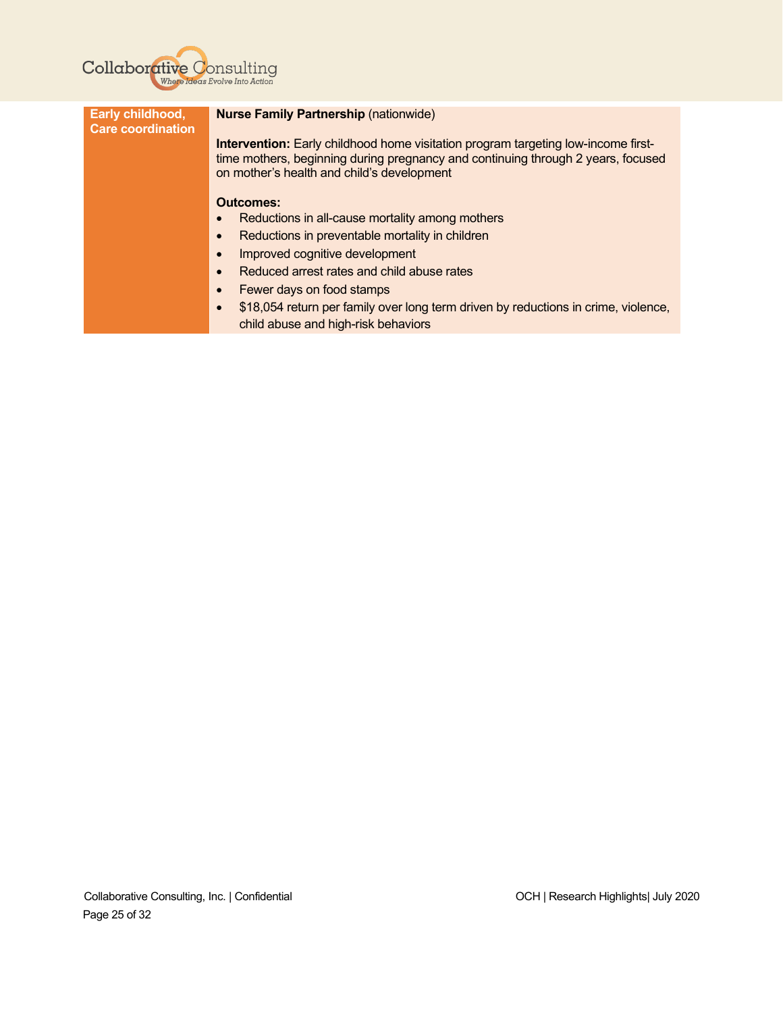

| <b>Nurse Family Partnership (nationwide)</b>                                                                                                                                                                               |
|----------------------------------------------------------------------------------------------------------------------------------------------------------------------------------------------------------------------------|
| <b>Intervention:</b> Early childhood home visitation program targeting low-income first-<br>time mothers, beginning during pregnancy and continuing through 2 years, focused<br>on mother's health and child's development |
| <b>Outcomes:</b><br>Reductions in all-cause mortality among mothers<br>Reductions in preventable mortality in children                                                                                                     |
| Improved cognitive development<br>Reduced arrest rates and child abuse rates                                                                                                                                               |
| Fewer days on food stamps<br>\$18,054 return per family over long term driven by reductions in crime, violence,<br>child abuse and high-risk behaviors                                                                     |
|                                                                                                                                                                                                                            |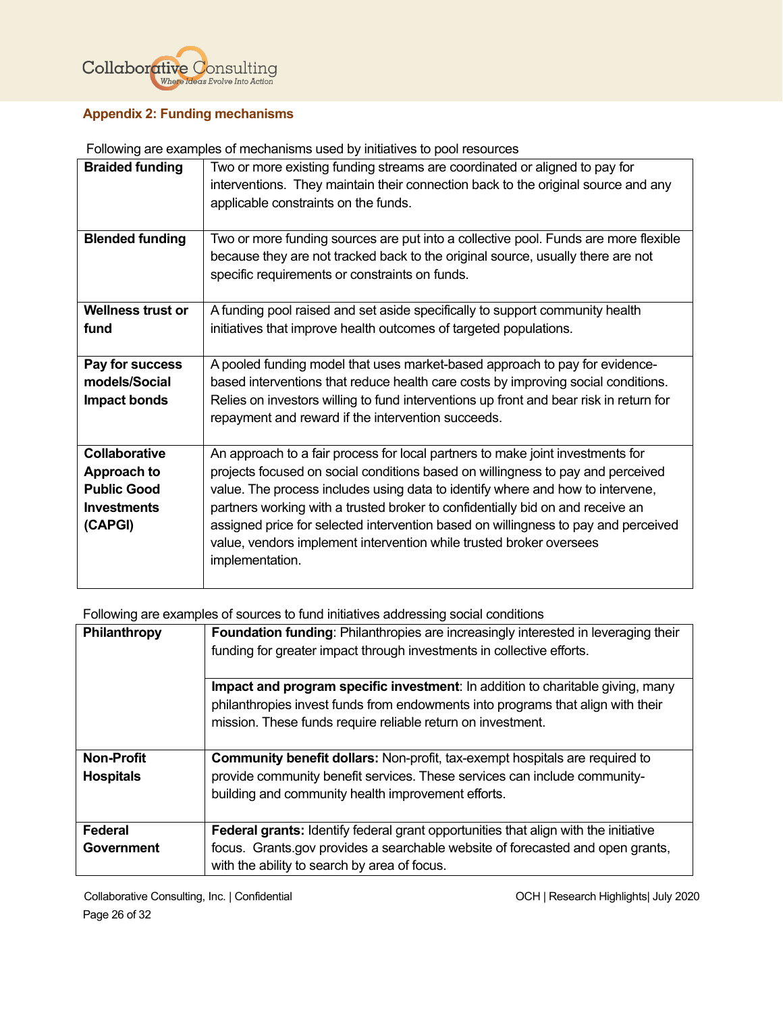

# <span id="page-26-0"></span>**Appendix 2: Funding mechanisms**

Following are examples of mechanisms used by initiatives to pool resources

| <b>Braided funding</b>   | Two or more existing funding streams are coordinated or aligned to pay for<br>interventions. They maintain their connection back to the original source and any<br>applicable constraints on the funds. |
|--------------------------|---------------------------------------------------------------------------------------------------------------------------------------------------------------------------------------------------------|
|                          |                                                                                                                                                                                                         |
| <b>Blended funding</b>   | Two or more funding sources are put into a collective pool. Funds are more flexible                                                                                                                     |
|                          | because they are not tracked back to the original source, usually there are not                                                                                                                         |
|                          | specific requirements or constraints on funds.                                                                                                                                                          |
| <b>Wellness trust or</b> | A funding pool raised and set aside specifically to support community health                                                                                                                            |
| fund                     | initiatives that improve health outcomes of targeted populations.                                                                                                                                       |
|                          |                                                                                                                                                                                                         |
| Pay for success          | A pooled funding model that uses market-based approach to pay for evidence-                                                                                                                             |
| models/Social            | based interventions that reduce health care costs by improving social conditions.                                                                                                                       |
| Impact bonds             | Relies on investors willing to fund interventions up front and bear risk in return for                                                                                                                  |
|                          | repayment and reward if the intervention succeeds.                                                                                                                                                      |
|                          |                                                                                                                                                                                                         |
| <b>Collaborative</b>     | An approach to a fair process for local partners to make joint investments for                                                                                                                          |
| Approach to              | projects focused on social conditions based on willingness to pay and perceived                                                                                                                         |
| <b>Public Good</b>       | value. The process includes using data to identify where and how to intervene,                                                                                                                          |
| <b>Investments</b>       | partners working with a trusted broker to confidentially bid on and receive an                                                                                                                          |
| (CAPGI)                  | assigned price for selected intervention based on willingness to pay and perceived                                                                                                                      |
|                          | value, vendors implement intervention while trusted broker oversees                                                                                                                                     |
|                          | implementation.                                                                                                                                                                                         |
|                          |                                                                                                                                                                                                         |

Following are examples of sources to fund initiatives addressing social conditions

| Philanthropy      | Foundation funding: Philanthropies are increasingly interested in leveraging their<br>funding for greater impact through investments in collective efforts. |
|-------------------|-------------------------------------------------------------------------------------------------------------------------------------------------------------|
|                   | Impact and program specific investment: In addition to charitable giving, many                                                                              |
|                   | philanthropies invest funds from endowments into programs that align with their                                                                             |
|                   | mission. These funds require reliable return on investment.                                                                                                 |
| <b>Non-Profit</b> | <b>Community benefit dollars:</b> Non-profit, tax-exempt hospitals are required to                                                                          |
| <b>Hospitals</b>  | provide community benefit services. These services can include community-                                                                                   |
|                   | building and community health improvement efforts.                                                                                                          |
|                   |                                                                                                                                                             |
| Federal           | <b>Federal grants:</b> Identify federal grant opportunities that align with the initiative                                                                  |
| Government        | focus. Grants.gov provides a searchable website of forecasted and open grants,                                                                              |
|                   | with the ability to search by area of focus.                                                                                                                |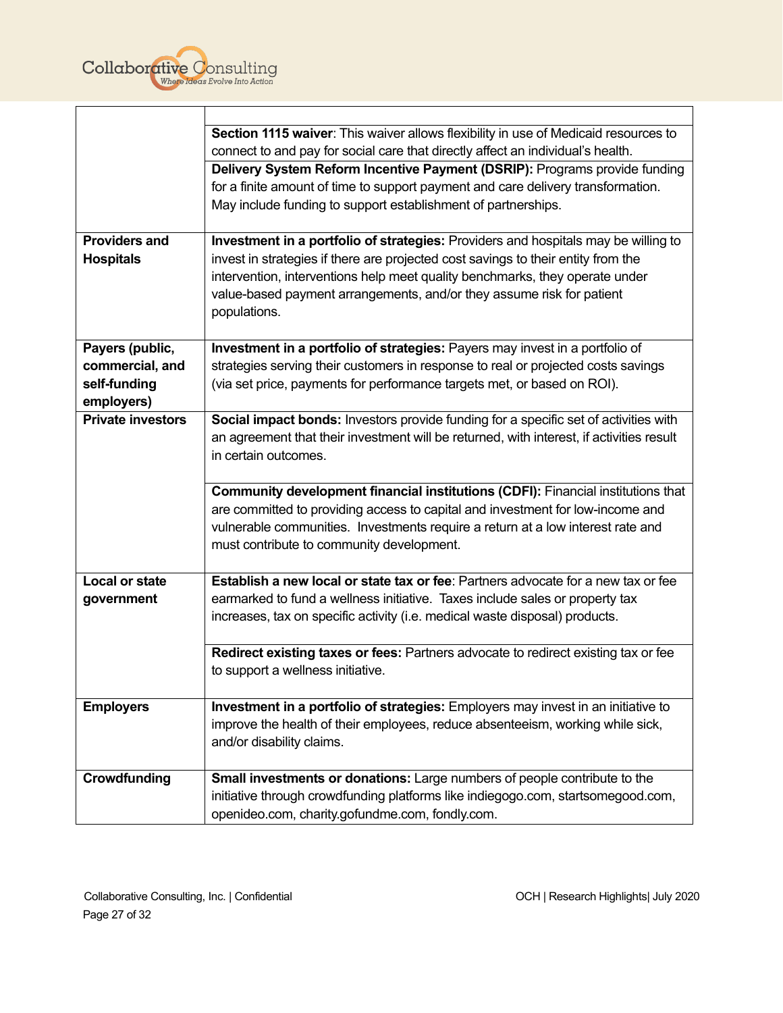

|                          | Section 1115 waiver: This waiver allows flexibility in use of Medicaid resources to      |
|--------------------------|------------------------------------------------------------------------------------------|
|                          | connect to and pay for social care that directly affect an individual's health.          |
|                          | Delivery System Reform Incentive Payment (DSRIP): Programs provide funding               |
|                          | for a finite amount of time to support payment and care delivery transformation.         |
|                          | May include funding to support establishment of partnerships.                            |
|                          |                                                                                          |
| <b>Providers and</b>     | Investment in a portfolio of strategies: Providers and hospitals may be willing to       |
| <b>Hospitals</b>         | invest in strategies if there are projected cost savings to their entity from the        |
|                          | intervention, interventions help meet quality benchmarks, they operate under             |
|                          | value-based payment arrangements, and/or they assume risk for patient                    |
|                          | populations.                                                                             |
|                          |                                                                                          |
| Payers (public,          | Investment in a portfolio of strategies: Payers may invest in a portfolio of             |
| commercial, and          | strategies serving their customers in response to real or projected costs savings        |
| self-funding             | (via set price, payments for performance targets met, or based on ROI).                  |
| employers)               |                                                                                          |
| <b>Private investors</b> | Social impact bonds: Investors provide funding for a specific set of activities with     |
|                          | an agreement that their investment will be returned, with interest, if activities result |
|                          | in certain outcomes.                                                                     |
|                          |                                                                                          |
|                          | Community development financial institutions (CDFI): Financial institutions that         |
|                          | are committed to providing access to capital and investment for low-income and           |
|                          | vulnerable communities. Investments require a return at a low interest rate and          |
|                          | must contribute to community development.                                                |
|                          |                                                                                          |
| <b>Local or state</b>    | Establish a new local or state tax or fee: Partners advocate for a new tax or fee        |
| government               | earmarked to fund a wellness initiative. Taxes include sales or property tax             |
|                          | increases, tax on specific activity (i.e. medical waste disposal) products.              |
|                          |                                                                                          |
|                          | Redirect existing taxes or fees: Partners advocate to redirect existing tax or fee       |
|                          | to support a wellness initiative.                                                        |
|                          |                                                                                          |
| <b>Employers</b>         | Investment in a portfolio of strategies: Employers may invest in an initiative to        |
|                          | improve the health of their employees, reduce absenteeism, working while sick,           |
|                          | and/or disability claims.                                                                |
| Crowdfunding             | Small investments or donations: Large numbers of people contribute to the                |
|                          | initiative through crowdfunding platforms like indiegogo.com, startsomegood.com,         |
|                          | openideo.com, charity.gofundme.com, fondly.com.                                          |
|                          |                                                                                          |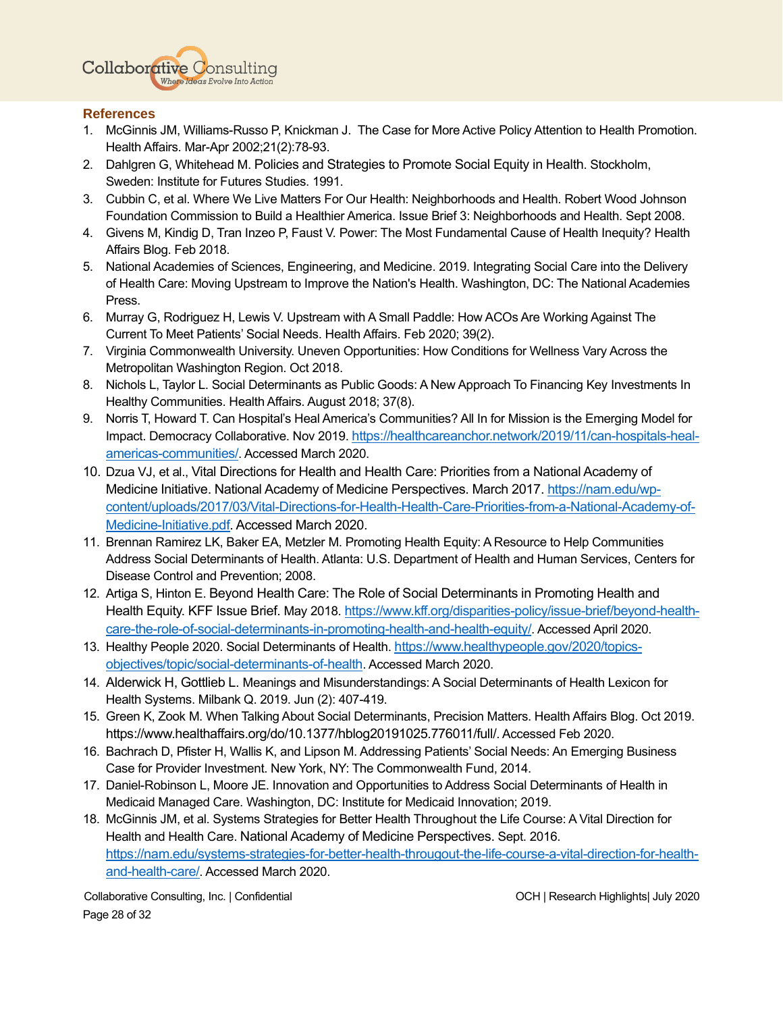

#### <span id="page-28-0"></span>**References**

- 1. McGinnis JM, Williams-Russo P, Knickman J. The Case for More Active Policy Attention to Health Promotion. Health Affairs. Mar-Apr 2002;21(2):78-93.
- 2. Dahlgren G, Whitehead M. Policies and Strategies to Promote Social Equity in Health. Stockholm, Sweden: Institute for Futures Studies. 1991.
- 3. Cubbin C, et al. Where We Live Matters For Our Health: Neighborhoods and Health. Robert Wood Johnson Foundation Commission to Build a Healthier America. Issue Brief 3: Neighborhoods and Health. Sept 2008.
- 4. Givens M, Kindig D, Tran Inzeo P, Faust V. Power: The Most Fundamental Cause of Health Inequity? Health Affairs Blog. Feb 2018.
- 5. National Academies of Sciences, Engineering, and Medicine. 2019. Integrating Social Care into the Delivery of Health Care: Moving Upstream to Improve the Nation's Health. Washington, DC: The National Academies Press.
- 6. Murray G, Rodriguez H, Lewis V. Upstream with A Small Paddle: How ACOs Are Working Against The Current To Meet Patients' Social Needs. Health Affairs. Feb 2020; 39(2).
- 7. Virginia Commonwealth University. Uneven Opportunities: How Conditions for Wellness Vary Across the Metropolitan Washington Region. Oct 2018.
- 8. Nichols L, Taylor L. Social Determinants as Public Goods: A New Approach To Financing Key Investments In Healthy Communities. Health Affairs. August 2018; 37(8).
- 9. Norris T, Howard T. Can Hospital's Heal America's Communities? All In for Mission is the Emerging Model for Impact. Democracy Collaborative. Nov 2019. [https://healthcareanchor.network/2019/11/can-hospitals-heal](https://healthcareanchor.network/2019/11/can-hospitals-heal-americas-communities/)[americas-communities/](https://healthcareanchor.network/2019/11/can-hospitals-heal-americas-communities/). Accessed March 2020.
- 10. Dzua VJ, et al., [Vital Directions for Health and Health Care: Priorities from a National Academy of](https://nam.edu/vital-directions-for-health-health-care-priorities-from-a-national-academy-of-medicine-initiative/)  [Medicine Initiative.](https://nam.edu/vital-directions-for-health-health-care-priorities-from-a-national-academy-of-medicine-initiative/) National Academy of Medicine Perspectives. March 2017. [https://nam.edu/wp](https://nam.edu/wp-content/uploads/2017/03/Vital-Directions-for-Health-Health-Care-Priorities-from-a-National-Academy-of-Medicine-Initiative.pdf)[content/uploads/2017/03/Vital-Directions-for-Health-Health-Care-Priorities-from-a-National-Academy-of-](https://nam.edu/wp-content/uploads/2017/03/Vital-Directions-for-Health-Health-Care-Priorities-from-a-National-Academy-of-Medicine-Initiative.pdf)[Medicine-Initiative.pdf.](https://nam.edu/wp-content/uploads/2017/03/Vital-Directions-for-Health-Health-Care-Priorities-from-a-National-Academy-of-Medicine-Initiative.pdf) Accessed March 2020.
- 11. Brennan Ramirez LK, Baker EA, Metzler M. Promoting Health Equity: A Resource to Help Communities Address Social Determinants of Health. Atlanta: U.S. Department of Health and Human Services, Centers for Disease Control and Prevention; 2008.
- 12. Artiga S, Hinton E. Beyond Health Care: The [Role of Social Determinants in Promoting Health and](https://www.kff.org/disparities-policy/issue-brief/beyond-health-care-the-role-of-social-determinants-in-promoting-health-and-health-equity/)  [Health Equity.](https://www.kff.org/disparities-policy/issue-brief/beyond-health-care-the-role-of-social-determinants-in-promoting-health-and-health-equity/) KFF Issue Brief. May 2018. [https://www.kff.org/disparities-policy/issue-brief/beyond-health](https://www.kff.org/disparities-policy/issue-brief/beyond-health-care-the-role-of-social-determinants-in-promoting-health-and-health-equity/)[care-the-role-of-social-determinants-in-promoting-health-and-health-equity/](https://www.kff.org/disparities-policy/issue-brief/beyond-health-care-the-role-of-social-determinants-in-promoting-health-and-health-equity/). Accessed April 2020.
- 13. Healthy People 2020. Social Determinants of Health. [https://www.healthypeople.gov/2020/topics](https://www.healthypeople.gov/2020/topics-objectives/topic/social-determinants-of-health)[objectives/topic/social-determinants-of-health](https://www.healthypeople.gov/2020/topics-objectives/topic/social-determinants-of-health). Accessed March 2020.
- 14. Alderwick H, Gottlieb L. Meanings and Misunderstandings: A Social Determinants of Health Lexicon for Health Systems. Milbank Q. 2019. Jun (2): 407-419.
- 15. Green K, Zook M. When Talking About Social Determinants, Precision Matters. Health Affairs Blog. Oct 2019. <https://www.healthaffairs.org/do/10.1377/hblog20191025.776011/full/>. Accessed Feb 2020.
- 16. Bachrach D, Pfister H, Wallis K, and Lipson M. Addressing Patients' Social Needs: An Emerging Business Case for Provider Investment. New York, NY: The Commonwealth Fund, 2014.
- 17. Daniel-Robinson L, Moore JE. Innovation and Opportunities to Address Social Determinants of Health in Medicaid Managed Care. Washington, DC: Institute for Medicaid Innovation; 2019.
- 18. McGinnis JM, et al. Systems Strategies for Better Health Throughout the Life Course: A Vital Direction for Health and Health Care. National Academy of Medicine Perspectives. Sept. 2016. [https://nam.edu/systems-strategies-for-better-health-througout-the-life-course-a-vital-direction-for-health](https://nam.edu/systems-strategies-for-better-health-througout-the-life-course-a-vital-direction-for-health-and-health-care/)[and-health-care/](https://nam.edu/systems-strategies-for-better-health-througout-the-life-course-a-vital-direction-for-health-and-health-care/). Accessed March 2020.

Collaborative Consulting, Inc. | Confidential OCH | Research Highlights| July 2020 Page 28 of 32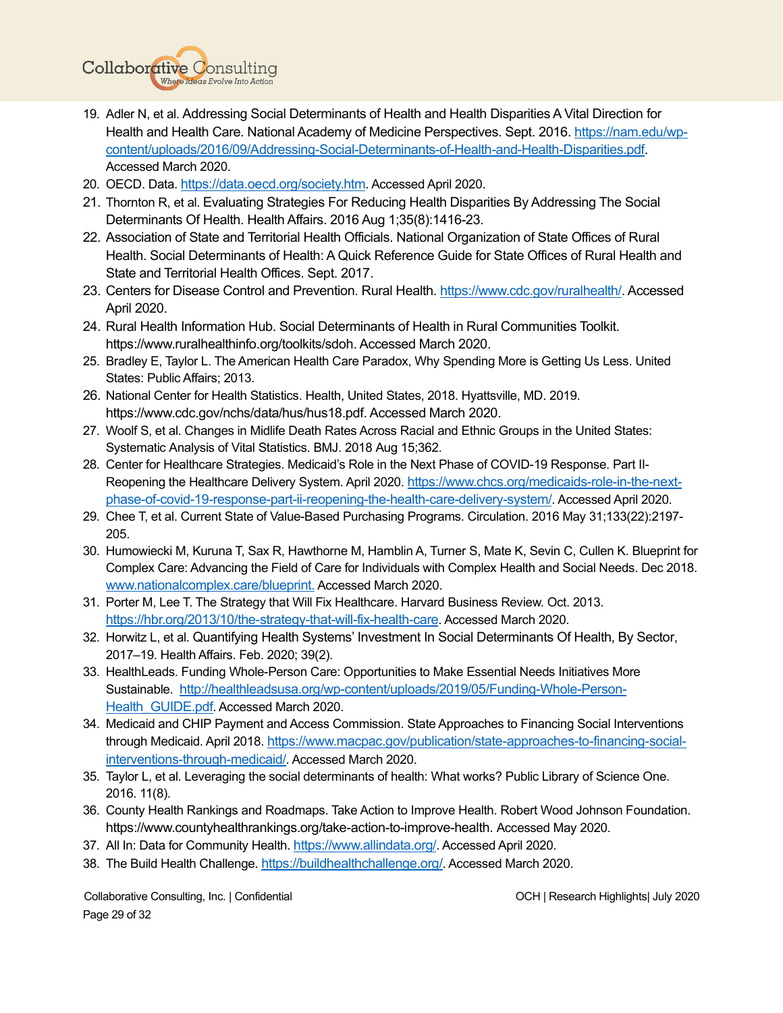

- 19. Adler N, et al. Addressing Social Determinants of Health and Health Disparities A Vital Direction for Health and Health Care. National Academy of Medicine Perspectives. Sept. 2016. [https://nam.edu/wp](https://nam.edu/wp-content/uploads/2016/09/Addressing-Social-Determinants-of-Health-and-Health-Disparities.pdf)[content/uploads/2016/09/Addressing-Social-Determinants-of-Health-and-Health-Disparities.pdf.](https://nam.edu/wp-content/uploads/2016/09/Addressing-Social-Determinants-of-Health-and-Health-Disparities.pdf) Accessed March 2020.
- 20. OECD. Data. <https://data.oecd.org/society.htm>. Accessed April 2020.
- 21. Thornton R, et al. Evaluating Strategies [For Reducing Health Disparities By Addressing The Social](https://www.ncbi.nlm.nih.gov/pmc/articles/PMC5524193/)  [Determinants Of Health.](https://www.ncbi.nlm.nih.gov/pmc/articles/PMC5524193/) Health Affairs. 2016 Aug 1;35(8):1416-23.
- 22. Association of State and Territorial Health Officials. National Organization of State Offices of Rural Health. Social Determinants of Health: A Quick Reference Guide for State Offices of Rural Health and State and Territorial Health Offices. Sept. 2017.
- 23. Centers for Disease Control and Prevention. Rural Health. [https://www.cdc.gov/ruralhealth/.](https://www.cdc.gov/ruralhealth/) Accessed April 2020.
- 24. Rural Health Information Hub. Social Determinants of Health in Rural Communities Toolkit. [https://www.ruralhealthinfo.org/toolkits/sdoh.](https://www.ruralhealthinfo.org/toolkits/sdoh) Accessed March 2020.
- 25. Bradley E, Taylor L. The American Health Care Paradox, Why Spending More is Getting Us Less. United States: Public Affairs; 2013.
- 26. National Center for Health Statistics. Health, United States, 2018. Hyattsville, MD. 2019. [https://www.cdc.gov/nchs/data/hus/hus18.pdf.](https://www.cdc.gov/nchs/data/hus/hus18.pdf) Accessed March 2020.
- 27. [Woolf S,](https://www.ncbi.nlm.nih.gov/pubmed/?term=Woolf%20SH%5BAuthor%5D&cauthor=true&cauthor_uid=30111554) et al. Changes in Midlife Death Rates Across Racial and Ethnic Groups in the United States: Systematic Analysis of Vital Statistics. [BMJ.](https://www.ncbi.nlm.nih.gov/pubmed/30111554) 2018 Aug 15;362.
- 28. Center for Healthcare Strategies. Medicaid's Role in the Next Phase of COVID-19 Response. Part IIReopening the Healthcare Delivery System. April 2020. [https://www.chcs.org/medicaids-role-in-the-next](https://www.chcs.org/medicaids-role-in-the-next-phase-of-covid-19-response-part-ii-reopening-the-health-care-delivery-system/)[phase-of-covid-19-response-part-ii-reopening-the-health-care-delivery-system/](https://www.chcs.org/medicaids-role-in-the-next-phase-of-covid-19-response-part-ii-reopening-the-health-care-delivery-system/). Accessed April 2020.
- 29. Chee T, et al. Current State of Value-Based Purchasing Programs. Circulation. 2016 May 31;133(22):2197- 205.
- 30. Humowiecki M, Kuruna T, Sax R, Hawthorne M, Hamblin A, Turner S, Mate K, Sevin C, Cullen K. Blueprint for Complex Care: Advancing the Field of Care for Individuals with Complex Health and Social Needs. Dec 2018. [www.nationalcomplex.care/blueprint.](http://www.nationalcomplex.care/blueprint.) Accessed March 2020.
- 31. Porter M, Lee T. The Strategy that Will Fix Healthcare. Harvard Business Review. Oct. 2013. <https://hbr.org/2013/10/the-strategy-that-will-fix-health-care>. Accessed March 2020.
- 32. Horwitz L, et al. [Quantifying Health Systems' Investment In Social Determinants Of Health, By Sector](https://www.healthaffairs.org/doi/10.1377/hlthaff.2019.01246), 2017–19. Health Affairs. Feb. 2020; 39(2).
- 33. HealthLeads. Funding Whole-Person Care: Opportunities to Make Essential Needs Initiatives More Sustainable. [http://healthleadsusa.org/wp-content/uploads/2019/05/Funding-Whole-Person-](http://healthleadsusa.org/wp-content/uploads/2019/05/Funding-Whole-Person-Health_GUIDE.pdf)Health GUIDE.pdf. Accessed March 2020.
- 34. Medicaid and CHIP Payment and Access Commission. State Approaches to Financing Social Interventions through Medicaid. April 2018. [https://www.macpac.gov/publication/state-approaches-to-financing-social](https://www.macpac.gov/publication/state-approaches-to-financing-social-interventions-through-medicaid/)[interventions-through-medicaid/](https://www.macpac.gov/publication/state-approaches-to-financing-social-interventions-through-medicaid/). Accessed March 2020.
- 35. Taylor L, et al. Leveraging the social determinants of health: What works? Public Library of Science One. 2016. 11(8).
- 36. County Health Rankings and Roadmaps. Take Action to Improve Health. Robert Wood Johnson Foundation. [https://www.countyhealthrankings.org/take-action-to-improve-health.](https://www.countyhealthrankings.org/take-action-to-improve-health) Accessed May 2020.
- 37. All In: Data for Community Health. <https://www.allindata.org/>. Accessed April 2020.
- 38. The Build Health Challenge. <https://buildhealthchallenge.org/>. Accessed March 2020.

Collaborative Consulting, Inc. | Confidential OCH | Research Highlights| July 2020 Page 29 of 32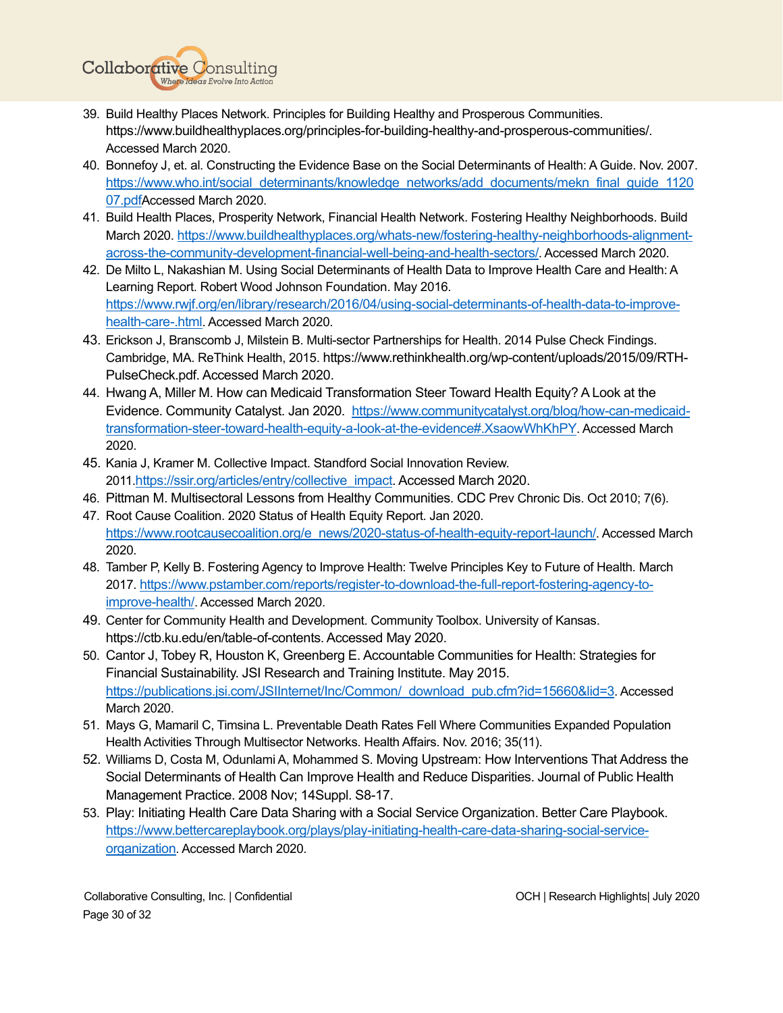

- 39. Build Healthy Places Network. Principles for Building Healthy and Prosperous Communities. <https://www.buildhealthyplaces.org/principles-for-building-healthy-and-prosperous-communities/>. Accessed March 2020.
- 40. Bonnefoy J, et. al. Constructing the Evidence Base on the Social Determinants of Health: A Guide. Nov. 2007. [https://www.who.int/social\\_determinants/knowledge\\_networks/add\\_documents/mekn\\_final\\_guide\\_1120](https://www.who.int/social_determinants/knowledge_networks/add_documents/mekn_final_guide_112007.pdf) [07.pdf](https://www.who.int/social_determinants/knowledge_networks/add_documents/mekn_final_guide_112007.pdf)Accessed March 2020.
- 41. Build Health Places, Prosperity Network, Financial Health Network. Fostering Healthy Neighborhoods. Build March 2020. [https://www.buildhealthyplaces.org/whats-new/fostering-healthy-neighborhoods-alignment](https://www.buildhealthyplaces.org/whats-new/fostering-healthy-neighborhoods-alignment-across-the-community-development-financial-well-being-and-health-sectors/)[across-the-community-development-financial-well-being-and-health-sectors/](https://www.buildhealthyplaces.org/whats-new/fostering-healthy-neighborhoods-alignment-across-the-community-development-financial-well-being-and-health-sectors/). Accessed March 2020.
- 42. De Milto L, Nakashian M. Using Social Determinants of Health Data to Improve Health Care and Health: A Learning Report. Robert Wood Johnson Foundation. May 2016. [https://www.rwjf.org/en/library/research/2016/04/using-social-determinants-of-health-data-to-improve](https://www.rwjf.org/en/library/research/2016/04/using-social-determinants-of-health-data-to-improve-health-care-.html)[health-care-.html](https://www.rwjf.org/en/library/research/2016/04/using-social-determinants-of-health-data-to-improve-health-care-.html). Accessed March 2020.
- 43. Erickson J, Branscomb J, Milstein B. Multi-sector Partnerships for Health. 2014 Pulse Check Findings. Cambridge, MA. ReThink Health, 2015. [https://www.rethinkhealth.org/wp-content/uploads/2015/09/RTH-](https://www.rethinkhealth.org/wp-content/uploads/2015/09/RTH-PulseCheck.pdf)[PulseCheck.pdf.](https://www.rethinkhealth.org/wp-content/uploads/2015/09/RTH-PulseCheck.pdf) Accessed March 2020.
- 44. Hwang A, Miller M. [How can Medicaid Transformation Steer Toward Health Equity? A Look at the](https://www.healthinnovation.org/news/blog/post?page=how-can-medicaid-transformation-steer-toward-health-equity-a-look-at-the-evidence)  [Evidence.](https://www.healthinnovation.org/news/blog/post?page=how-can-medicaid-transformation-steer-toward-health-equity-a-look-at-the-evidence) Community Catalyst. Jan 2020. [https://www.communitycatalyst.org/blog/how-can-medicaid](https://www.communitycatalyst.org/blog/how-can-medicaid-transformation-steer-toward-health-equity-a-look-at-the-evidence#.XsaowWhKhPY)[transformation-steer-toward-health-equity-a-look-at-the-evidence#.XsaowWhKhPY](https://www.communitycatalyst.org/blog/how-can-medicaid-transformation-steer-toward-health-equity-a-look-at-the-evidence#.XsaowWhKhPY). Accessed March 2020.
- 45. Kania J, Kramer M. Collective Impact. Standford Social Innovation Review. 2011.[https://ssir.org/articles/entry/collective\\_impact.](https://ssir.org/articles/entry/collective_impact) Accessed March 2020.
- 46. Pittman M. Multisectoral Lessons from Healthy Communities. CDC Prev Chronic Dis. Oct 2010; 7(6).
- 47. Root Cause Coalition. 2020 Status of Health Equity Report. Jan 2020. [https://www.rootcausecoalition.org/e\\_news/2020-status-of-health-equity-report-launch/](https://www.rootcausecoalition.org/e_news/2020-status-of-health-equity-report-launch/). Accessed March 2020.
- 48. Tamber P, Kelly B. Fostering Agency to Improve Health: Twelve Principles Key to Future of Health. March 2017. [https://www.pstamber.com/reports/register-to-download-the-full-report-fostering-agency-to](https://www.pstamber.com/reports/register-to-download-the-full-report-fostering-agency-to-improve-health/)[improve-health/](https://www.pstamber.com/reports/register-to-download-the-full-report-fostering-agency-to-improve-health/). Accessed March 2020.
- 49. Center for Community Health and Development. Community Toolbox. University of Kansas. [https://ctb.ku.edu/en/table-of-contents.](https://ctb.ku.edu/en/table-of-contents) Accessed May 2020.
- 50. Cantor J, Tobey R, Houston K, Greenberg E. Accountable Communities for Health: Strategies for Financial Sustainability. JSI Research and Training Institute. May 2015. [https://publications.jsi.com/JSIInternet/Inc/Common/\\_download\\_pub.cfm?id=15660&lid=3](https://publications.jsi.com/JSIInternet/Inc/Common/_download_pub.cfm?id=15660&lid=3). Accessed March 2020.
- 51. Mays G, Mamaril C, Timsina L. Preventable Death Rates Fell Where Communities Expanded Population Health Activities Through Multisector Networks. Health Affairs. Nov. 2016; 35(11).
- 52. Williams D, Costa M, Odunlami A, Mohammed S. [Moving Upstream: How Interventions That Address the](https://pubmed.ncbi.nlm.nih.gov/18843244/)  [Social Determinants of Health Can Improve Health and Reduce Disparities.](https://pubmed.ncbi.nlm.nih.gov/18843244/) Journal of Public Health Management Practice. 2008 Nov; 14Suppl. S8-17.
- 53. Play: Initiating Health Care Data Sharing with a Social Service Organization. Better Care Playbook. [https://www.bettercareplaybook.org/plays/play-initiating-health-care-data-sharing-social-service](https://www.bettercareplaybook.org/plays/play-initiating-health-care-data-sharing-social-service-organization)[organization](https://www.bettercareplaybook.org/plays/play-initiating-health-care-data-sharing-social-service-organization). Accessed March 2020.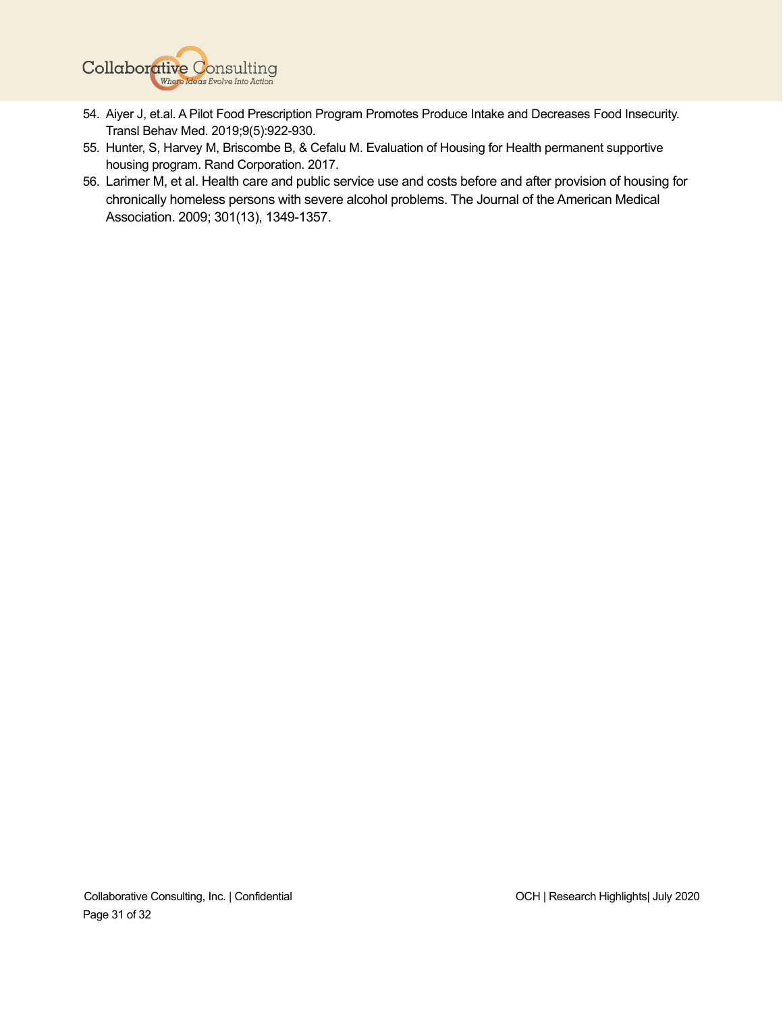

- 54. Aiyer J, et.al. A Pilot Food Prescription Program Promotes Produce Intake and Decreases Food Insecurity. Transl Behav Med. 2019;9(5):922-930.
- 55. Hunter, S, Harvey M, Briscombe B, & Cefalu M. Evaluation of Housing for Health permanent supportive housing program. Rand Corporation. 2017.
- 56. Larimer M, et al. Health care and public service use and costs before and after provision of housing for chronically homeless persons with severe alcohol problems. The Journal of the American Medical Association. 2009; 301(13), 1349-1357.